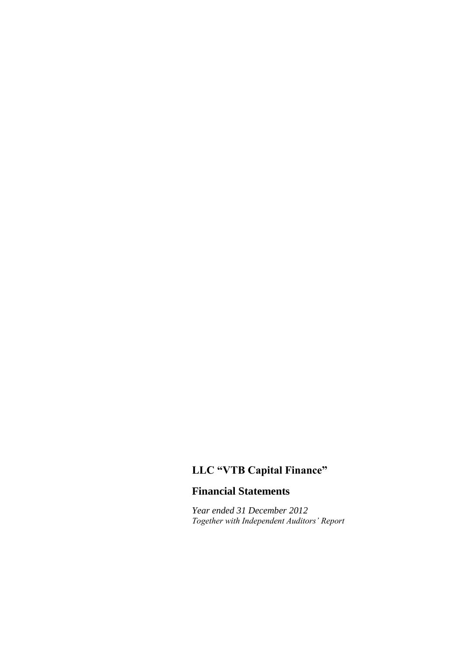# **LLC "VTB Capital Finance"**

# **Financial Statements**

*Year ended 31 December 2012 Together with Independent Auditors' Report*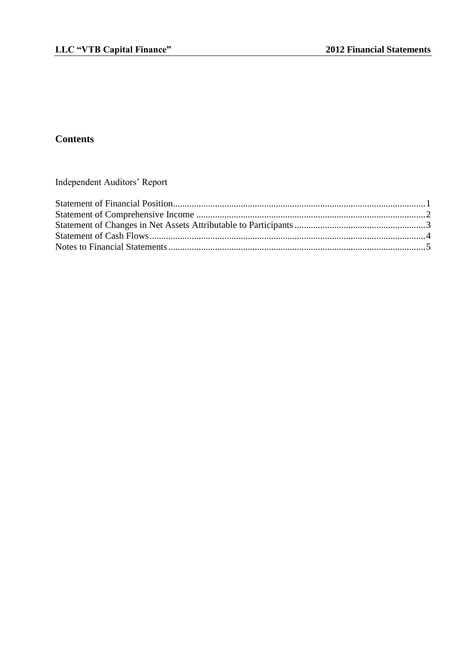# **Contents**

Independent Auditors' Report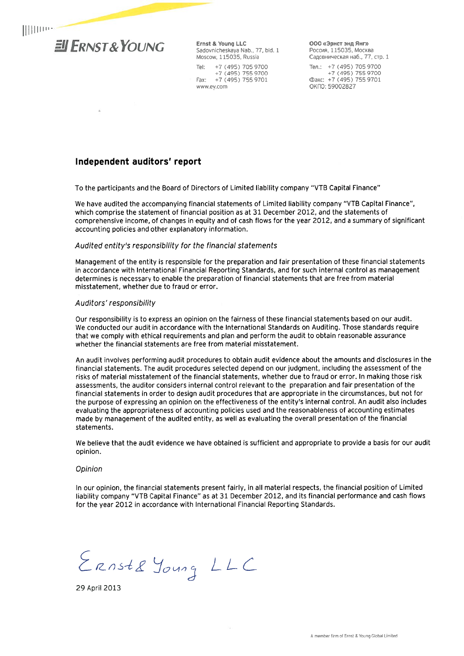

Ernst & Young LLC Sadovnicheskava Nab., 77, bld. 1 Moscow, 115035, Russia  $T_0$ +7 (495) 705 9700  $+7(495)7559700$ +7 (495) 755 9701 Fax: www.ev.com

000 «Эрнст энд Янг» Россия, 115035, Москва Садовническая наб., 77, стр. 1 Тел.: +7 (495) 705 9700

 $+7(495)7559700$ Факс: +7 (495) 755 9701 ОКПО: 59002827

#### Independent auditors' report

To the participants and the Board of Directors of Limited liability company "VTB Capital Finance"

We have audited the accompanying financial statements of Limited liability company "VTB Capital Finance", which comprise the statement of financial position as at 31 December 2012, and the statements of comprehensive income, of changes in equity and of cash flows for the year 2012, and a summary of significant accounting policies and other explanatory information.

#### Audited entity's responsibility for the financial statements

Management of the entity is responsible for the preparation and fair presentation of these financial statements in accordance with International Financial Reporting Standards, and for such internal control as management determines is necessary to enable the preparation of financial statements that are free from material misstatement, whether due to fraud or error.

#### Auditors' responsibility

Our responsibility is to express an opinion on the fairness of these financial statements based on our audit. We conducted our audit in accordance with the International Standards on Auditing. Those standards require that we comply with ethical requirements and plan and perform the audit to obtain reasonable assurance whether the financial statements are free from material misstatement.

An audit involves performing audit procedures to obtain audit evidence about the amounts and disclosures in the financial statements. The audit procedures selected depend on our judgment, including the assessment of the risks of material misstatement of the financial statements, whether due to fraud or error. In making those risk assessments, the auditor considers internal control relevant to the preparation and fair presentation of the financial statements in order to design audit procedures that are appropriate in the circumstances, but not for the purpose of expressing an opinion on the effectiveness of the entity's internal control. An audit also includes evaluating the appropriateness of accounting policies used and the reasonableness of accounting estimates made by management of the audited entity, as well as evaluating the overall presentation of the financial statements.

We believe that the audit evidence we have obtained is sufficient and appropriate to provide a basis for our audit opinion.

#### Opinion

In our opinion, the financial statements present fairly, in all material respects, the financial position of Limited liability company "VTB Capital Finance" as at 31 December 2012, and its financial performance and cash flows for the year 2012 in accordance with International Financial Reporting Standards.

Ernste Young LLC

29 April 2013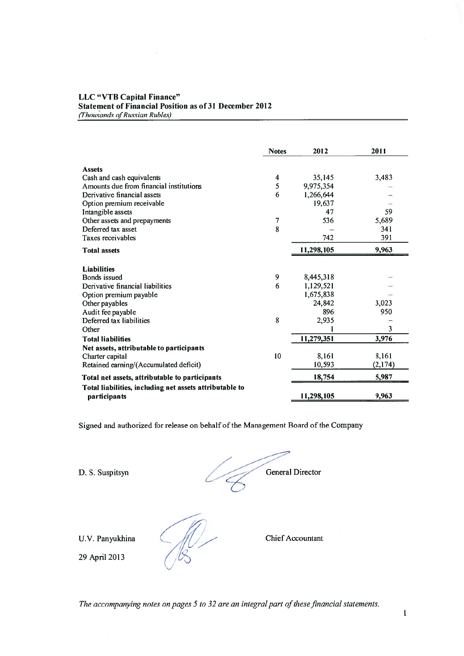## LLC "VTB Capital Finance" Statement of Financial Position as of 31 December 2012

(Thousands of Russian Rubles)

|                                                                         | <b>Notes</b> | 2012       | 2011    |
|-------------------------------------------------------------------------|--------------|------------|---------|
| <b>Assets</b>                                                           |              |            |         |
| Cash and cash equivalents                                               | 4            | 35,145     | 3,483   |
| Amounts due from financial institutions                                 | 5            | 9,975,354  |         |
| Derivative financial assets                                             | 6            | 1,266,644  |         |
| Option premium receivable                                               |              | 19,637     |         |
| Intangible assets                                                       |              | 47         | 59      |
| Other assets and prepayments                                            | 7            | 536        | 5,689   |
| Deferred tax asset                                                      | 8            |            | 341     |
| Taxes receivables                                                       |              | 742        | 391     |
| <b>Total assets</b>                                                     |              | 11,298,105 | 9,963   |
| <b>Liabilities</b>                                                      |              |            |         |
| Bonds issued                                                            | 9            | 8,445,318  |         |
| Derivative financial liabilities                                        | 6            | 1,129,521  |         |
| Option premium payable                                                  |              | 1,675,838  |         |
| Other payables                                                          |              | 24,842     | 3,023   |
| Audit fee payable                                                       |              | 896        | 950     |
| Deferred tax liabilities                                                | 8            | 2,935      |         |
| Other                                                                   |              |            | 3       |
| <b>Total liabilities</b>                                                |              | 11,279,351 | 3,976   |
| Net assets, attributable to participants                                |              |            |         |
| Charter capital                                                         | 10           | 8,161      | 8,161   |
| Retained earning/(Accumulated deficit)                                  |              | 10,593     | (2,174) |
| Total net assets, attributable to participants                          |              | 18,754     | 5,987   |
| Total liabilities, including net assets attributable to<br>participants |              | 11,298,105 | 9,963   |

Signed and authorized for release on behalf of the Management Board of the Company

D. S. Suspitsyn

General Director

U.V. Panyukhina

29 April 2013

**Chief Accountant** 

 $\mathbb{Z}$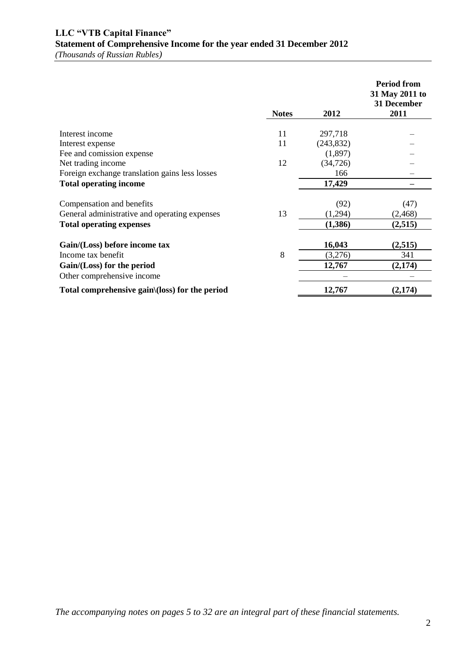|                                                |              |            | <b>Period from</b><br>31 May 2011 to<br>31 December |
|------------------------------------------------|--------------|------------|-----------------------------------------------------|
|                                                | <b>Notes</b> | 2012       | 2011                                                |
| Interest income                                | 11           | 297,718    |                                                     |
| Interest expense                               | 11           | (243, 832) |                                                     |
| Fee and comission expense                      |              | (1,897)    |                                                     |
| Net trading income                             | 12           | (34, 726)  |                                                     |
| Foreign exchange translation gains less losses |              | 166        |                                                     |
| <b>Total operating income</b>                  |              | 17,429     |                                                     |
| Compensation and benefits                      |              | (92)       | (47)                                                |
| General administrative and operating expenses  | 13           | (1,294)    | (2, 468)                                            |
| <b>Total operating expenses</b>                |              | (1,386)    | (2,515)                                             |
| Gain/(Loss) before income tax                  |              | 16,043     | (2,515)                                             |
| Income tax benefit                             | 8            | (3,276)    | 341                                                 |
| Gain/(Loss) for the period                     |              | 12,767     | (2,174)                                             |
| Other comprehensive income                     |              |            |                                                     |
| Total comprehensive gain\(loss) for the period |              | 12,767     | (2,174)                                             |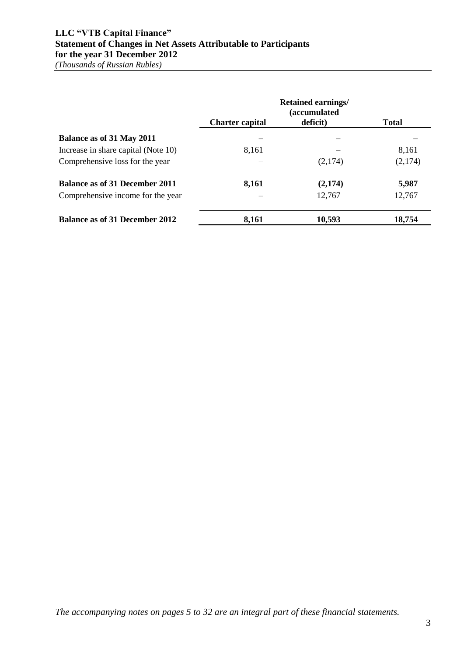## **LLC "VTB Capital Finance" Statement of Changes in Net Assets Attributable to Participants for the year 31 December 2012**

*(Thousands of Russian Rubles)*

|                                       | <b>Retained earnings/</b> |          |              |
|---------------------------------------|---------------------------|----------|--------------|
|                                       | <b>Charter capital</b>    | deficit) | <b>Total</b> |
| Balance as of 31 May 2011             |                           |          |              |
| Increase in share capital (Note 10)   | 8,161                     |          | 8,161        |
| Comprehensive loss for the year       |                           | (2,174)  | (2,174)      |
| <b>Balance as of 31 December 2011</b> | 8,161                     | (2,174)  | 5,987        |
| Comprehensive income for the year     |                           | 12,767   | 12,767       |
| <b>Balance as of 31 December 2012</b> | 8,161                     | 10,593   | 18,754       |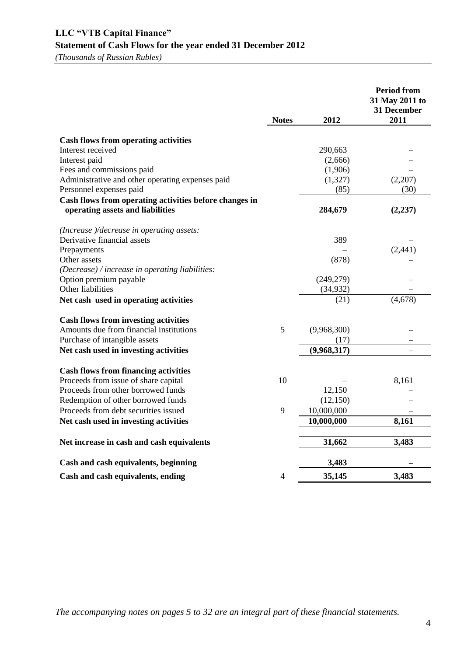# **LLC "VTB Capital Finance" Statement of Cash Flows for the year ended 31 December 2012**

*(Thousands of Russian Rubles)*

| <b>Cash flows from operating activities</b><br>Interest received<br>290,663<br>Interest paid<br>(2,666)<br>Fees and commissions paid<br>(1,906)<br>Administrative and other operating expenses paid<br>(1,327)<br>(2,207)<br>Personnel expenses paid<br>(85)<br>(30)<br>Cash flows from operating activities before changes in<br>operating assets and liabilities<br>284,679<br>(2, 237)<br>(Increase )/decrease in operating assets:<br>Derivative financial assets<br>389<br>(2,441)<br>Prepayments<br>Other assets<br>(878)<br>(Decrease) / increase in operating liabilities:<br>Option premium payable<br>(249, 279)<br>Other liabilities<br>(34, 932)<br>Net cash used in operating activities<br>(4,678)<br>(21)<br><b>Cash flows from investing activities</b><br>5<br>Amounts due from financial institutions<br>(9,968,300)<br>Purchase of intangible assets<br>(17)<br>(9,968,317)<br>Net cash used in investing activities<br><b>Cash flows from financing activities</b><br>10<br>Proceeds from issue of share capital<br>8,161<br>Proceeds from other borrowed funds<br>12,150<br>Redemption of other borrowed funds<br>(12, 150)<br>9<br>10,000,000<br>Proceeds from debt securities issued<br>10,000,000<br>8,161<br>Net cash used in investing activities |                                           | <b>Notes</b> | 2012   | <b>Period from</b><br>31 May 2011 to<br>31 December<br>2011 |
|-----------------------------------------------------------------------------------------------------------------------------------------------------------------------------------------------------------------------------------------------------------------------------------------------------------------------------------------------------------------------------------------------------------------------------------------------------------------------------------------------------------------------------------------------------------------------------------------------------------------------------------------------------------------------------------------------------------------------------------------------------------------------------------------------------------------------------------------------------------------------------------------------------------------------------------------------------------------------------------------------------------------------------------------------------------------------------------------------------------------------------------------------------------------------------------------------------------------------------------------------------------------------------|-------------------------------------------|--------------|--------|-------------------------------------------------------------|
|                                                                                                                                                                                                                                                                                                                                                                                                                                                                                                                                                                                                                                                                                                                                                                                                                                                                                                                                                                                                                                                                                                                                                                                                                                                                             |                                           |              |        |                                                             |
|                                                                                                                                                                                                                                                                                                                                                                                                                                                                                                                                                                                                                                                                                                                                                                                                                                                                                                                                                                                                                                                                                                                                                                                                                                                                             |                                           |              |        |                                                             |
|                                                                                                                                                                                                                                                                                                                                                                                                                                                                                                                                                                                                                                                                                                                                                                                                                                                                                                                                                                                                                                                                                                                                                                                                                                                                             |                                           |              |        |                                                             |
|                                                                                                                                                                                                                                                                                                                                                                                                                                                                                                                                                                                                                                                                                                                                                                                                                                                                                                                                                                                                                                                                                                                                                                                                                                                                             |                                           |              |        |                                                             |
|                                                                                                                                                                                                                                                                                                                                                                                                                                                                                                                                                                                                                                                                                                                                                                                                                                                                                                                                                                                                                                                                                                                                                                                                                                                                             |                                           |              |        |                                                             |
|                                                                                                                                                                                                                                                                                                                                                                                                                                                                                                                                                                                                                                                                                                                                                                                                                                                                                                                                                                                                                                                                                                                                                                                                                                                                             |                                           |              |        |                                                             |
|                                                                                                                                                                                                                                                                                                                                                                                                                                                                                                                                                                                                                                                                                                                                                                                                                                                                                                                                                                                                                                                                                                                                                                                                                                                                             |                                           |              |        |                                                             |
|                                                                                                                                                                                                                                                                                                                                                                                                                                                                                                                                                                                                                                                                                                                                                                                                                                                                                                                                                                                                                                                                                                                                                                                                                                                                             |                                           |              |        |                                                             |
|                                                                                                                                                                                                                                                                                                                                                                                                                                                                                                                                                                                                                                                                                                                                                                                                                                                                                                                                                                                                                                                                                                                                                                                                                                                                             |                                           |              |        |                                                             |
|                                                                                                                                                                                                                                                                                                                                                                                                                                                                                                                                                                                                                                                                                                                                                                                                                                                                                                                                                                                                                                                                                                                                                                                                                                                                             |                                           |              |        |                                                             |
|                                                                                                                                                                                                                                                                                                                                                                                                                                                                                                                                                                                                                                                                                                                                                                                                                                                                                                                                                                                                                                                                                                                                                                                                                                                                             |                                           |              |        |                                                             |
|                                                                                                                                                                                                                                                                                                                                                                                                                                                                                                                                                                                                                                                                                                                                                                                                                                                                                                                                                                                                                                                                                                                                                                                                                                                                             |                                           |              |        |                                                             |
|                                                                                                                                                                                                                                                                                                                                                                                                                                                                                                                                                                                                                                                                                                                                                                                                                                                                                                                                                                                                                                                                                                                                                                                                                                                                             |                                           |              |        |                                                             |
|                                                                                                                                                                                                                                                                                                                                                                                                                                                                                                                                                                                                                                                                                                                                                                                                                                                                                                                                                                                                                                                                                                                                                                                                                                                                             |                                           |              |        |                                                             |
|                                                                                                                                                                                                                                                                                                                                                                                                                                                                                                                                                                                                                                                                                                                                                                                                                                                                                                                                                                                                                                                                                                                                                                                                                                                                             |                                           |              |        |                                                             |
|                                                                                                                                                                                                                                                                                                                                                                                                                                                                                                                                                                                                                                                                                                                                                                                                                                                                                                                                                                                                                                                                                                                                                                                                                                                                             |                                           |              |        |                                                             |
|                                                                                                                                                                                                                                                                                                                                                                                                                                                                                                                                                                                                                                                                                                                                                                                                                                                                                                                                                                                                                                                                                                                                                                                                                                                                             |                                           |              |        |                                                             |
|                                                                                                                                                                                                                                                                                                                                                                                                                                                                                                                                                                                                                                                                                                                                                                                                                                                                                                                                                                                                                                                                                                                                                                                                                                                                             |                                           |              |        |                                                             |
|                                                                                                                                                                                                                                                                                                                                                                                                                                                                                                                                                                                                                                                                                                                                                                                                                                                                                                                                                                                                                                                                                                                                                                                                                                                                             |                                           |              |        |                                                             |
|                                                                                                                                                                                                                                                                                                                                                                                                                                                                                                                                                                                                                                                                                                                                                                                                                                                                                                                                                                                                                                                                                                                                                                                                                                                                             |                                           |              |        |                                                             |
|                                                                                                                                                                                                                                                                                                                                                                                                                                                                                                                                                                                                                                                                                                                                                                                                                                                                                                                                                                                                                                                                                                                                                                                                                                                                             |                                           |              |        |                                                             |
|                                                                                                                                                                                                                                                                                                                                                                                                                                                                                                                                                                                                                                                                                                                                                                                                                                                                                                                                                                                                                                                                                                                                                                                                                                                                             |                                           |              |        |                                                             |
|                                                                                                                                                                                                                                                                                                                                                                                                                                                                                                                                                                                                                                                                                                                                                                                                                                                                                                                                                                                                                                                                                                                                                                                                                                                                             |                                           |              |        |                                                             |
|                                                                                                                                                                                                                                                                                                                                                                                                                                                                                                                                                                                                                                                                                                                                                                                                                                                                                                                                                                                                                                                                                                                                                                                                                                                                             |                                           |              |        |                                                             |
|                                                                                                                                                                                                                                                                                                                                                                                                                                                                                                                                                                                                                                                                                                                                                                                                                                                                                                                                                                                                                                                                                                                                                                                                                                                                             |                                           |              |        |                                                             |
|                                                                                                                                                                                                                                                                                                                                                                                                                                                                                                                                                                                                                                                                                                                                                                                                                                                                                                                                                                                                                                                                                                                                                                                                                                                                             |                                           |              |        |                                                             |
|                                                                                                                                                                                                                                                                                                                                                                                                                                                                                                                                                                                                                                                                                                                                                                                                                                                                                                                                                                                                                                                                                                                                                                                                                                                                             |                                           |              |        |                                                             |
|                                                                                                                                                                                                                                                                                                                                                                                                                                                                                                                                                                                                                                                                                                                                                                                                                                                                                                                                                                                                                                                                                                                                                                                                                                                                             |                                           |              |        |                                                             |
|                                                                                                                                                                                                                                                                                                                                                                                                                                                                                                                                                                                                                                                                                                                                                                                                                                                                                                                                                                                                                                                                                                                                                                                                                                                                             | Net increase in cash and cash equivalents |              | 31,662 | 3,483                                                       |
|                                                                                                                                                                                                                                                                                                                                                                                                                                                                                                                                                                                                                                                                                                                                                                                                                                                                                                                                                                                                                                                                                                                                                                                                                                                                             |                                           |              |        |                                                             |
| 3,483<br>Cash and cash equivalents, beginning                                                                                                                                                                                                                                                                                                                                                                                                                                                                                                                                                                                                                                                                                                                                                                                                                                                                                                                                                                                                                                                                                                                                                                                                                               |                                           |              |        |                                                             |
| 4<br>35,145<br>3,483<br>Cash and cash equivalents, ending                                                                                                                                                                                                                                                                                                                                                                                                                                                                                                                                                                                                                                                                                                                                                                                                                                                                                                                                                                                                                                                                                                                                                                                                                   |                                           |              |        |                                                             |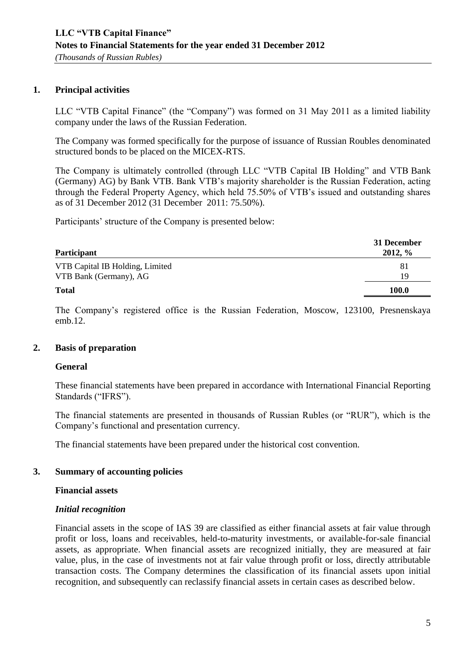## **1. Principal activities**

LLC "VTB Capital Finance" (the "Company") was formed on 31 May 2011 as a limited liability company under the laws of the Russian Federation.

The Company was formed specifically for the purpose of issuance of Russian Roubles denominated structured bonds to be placed on the MICEX-RTS.

The Company is ultimately controlled (through LLC "VTB Capital IB Holding" and VTB Bank (Germany) AG) by Bank VTB. Bank VTB's majority shareholder is the Russian Federation, acting through the Federal Property Agency, which held 75.50% of VTB's issued and outstanding shares as of 31 December 2012 (31 December 2011: 75.50%).

Participants' structure of the Company is presented below:

| <b>Participant</b>                                        | 31 December<br>$2012, \%$ |
|-----------------------------------------------------------|---------------------------|
| VTB Capital IB Holding, Limited<br>VTB Bank (Germany), AG | 81<br>19                  |
| <b>Total</b>                                              | 100.0                     |

The Company's registered office is the Russian Federation, Moscow, 123100, Presnenskaya emb.12.

## **2. Basis of preparation**

## **General**

These financial statements have been prepared in accordance with International Financial Reporting Standards ("IFRS").

The financial statements are presented in thousands of Russian Rubles (or "RUR"), which is the Company's functional and presentation currency.

The financial statements have been prepared under the historical cost convention.

## **3. Summary of accounting policies**

#### **Financial assets**

## *Initial recognition*

Financial assets in the scope of IAS 39 are classified as either financial assets at fair value through profit or loss, loans and receivables, held-to-maturity investments, or available-for-sale financial assets, as appropriate. When financial assets are recognized initially, they are measured at fair value, plus, in the case of investments not at fair value through profit or loss, directly attributable transaction costs. The Company determines the classification of its financial assets upon initial recognition, and subsequently can reclassify financial assets in certain cases as described below.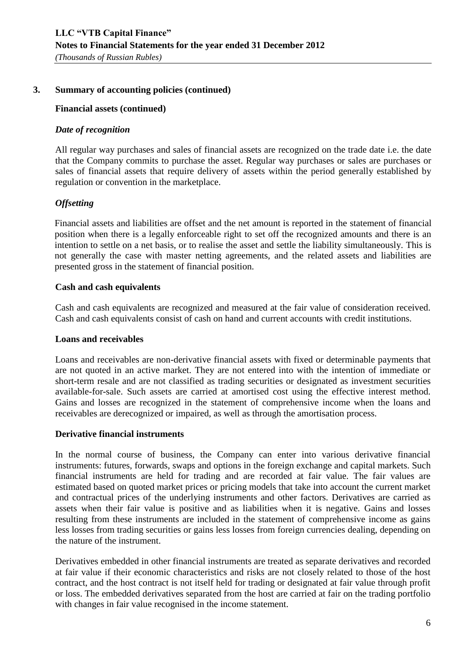#### **Financial assets (continued)**

#### *Date of recognition*

All regular way purchases and sales of financial assets are recognized on the trade date i.e. the date that the Company commits to purchase the asset. Regular way purchases or sales are purchases or sales of financial assets that require delivery of assets within the period generally established by regulation or convention in the marketplace.

## *Offsetting*

Financial assets and liabilities are offset and the net amount is reported in the statement of financial position when there is a legally enforceable right to set off the recognized amounts and there is an intention to settle on a net basis, or to realise the asset and settle the liability simultaneously. This is not generally the case with master netting agreements, and the related assets and liabilities are presented gross in the statement of financial position.

#### **Cash and cash equivalents**

Cash and cash equivalents are recognized and measured at the fair value of consideration received. Cash and cash equivalents consist of cash on hand and current accounts with credit institutions.

#### **Loans and receivables**

Loans and receivables are non-derivative financial assets with fixed or determinable payments that are not quoted in an active market. They are not entered into with the intention of immediate or short-term resale and are not classified as trading securities or designated as investment securities available-for-sale. Such assets are carried at amortised cost using the effective interest method. Gains and losses are recognized in the statement of comprehensive income when the loans and receivables are derecognized or impaired, as well as through the amortisation process.

#### **Derivative financial instruments**

In the normal course of business, the Company can enter into various derivative financial instruments: futures, forwards, swaps and options in the foreign exchange and capital markets. Such financial instruments are held for trading and are recorded at fair value. The fair values are estimated based on quoted market prices or pricing models that take into account the current market and contractual prices of the underlying instruments and other factors. Derivatives are carried as assets when their fair value is positive and as liabilities when it is negative. Gains and losses resulting from these instruments are included in the statement of comprehensive income as gains less losses from trading securities or gains less losses from foreign currencies dealing, depending on the nature of the instrument.

Derivatives embedded in other financial instruments are treated as separate derivatives and recorded at fair value if their economic characteristics and risks are not closely related to those of the host contract, and the host contract is not itself held for trading or designated at fair value through profit or loss. The embedded derivatives separated from the host are carried at fair on the trading portfolio with changes in fair value recognised in the income statement.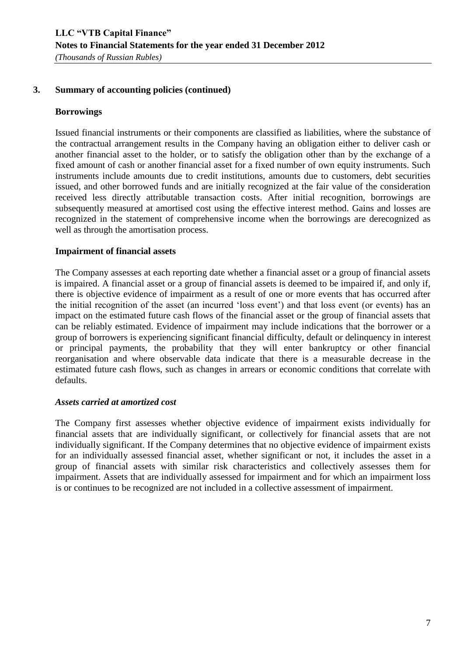## **Borrowings**

Issued financial instruments or their components are classified as liabilities, where the substance of the contractual arrangement results in the Company having an obligation either to deliver cash or another financial asset to the holder, or to satisfy the obligation other than by the exchange of a fixed amount of cash or another financial asset for a fixed number of own equity instruments. Such instruments include amounts due to credit institutions, amounts due to customers, debt securities issued, and other borrowed funds and are initially recognized at the fair value of the consideration received less directly attributable transaction costs. After initial recognition, borrowings are subsequently measured at amortised cost using the effective interest method. Gains and losses are recognized in the statement of comprehensive income when the borrowings are derecognized as well as through the amortisation process.

## **Impairment of financial assets**

The Company assesses at each reporting date whether a financial asset or a group of financial assets is impaired. A financial asset or a group of financial assets is deemed to be impaired if, and only if, there is objective evidence of impairment as a result of one or more events that has occurred after the initial recognition of the asset (an incurred 'loss event') and that loss event (or events) has an impact on the estimated future cash flows of the financial asset or the group of financial assets that can be reliably estimated. Evidence of impairment may include indications that the borrower or a group of borrowers is experiencing significant financial difficulty, default or delinquency in interest or principal payments, the probability that they will enter bankruptcy or other financial reorganisation and where observable data indicate that there is a measurable decrease in the estimated future cash flows, such as changes in arrears or economic conditions that correlate with defaults.

## *Assets carried at amortized cost*

The Company first assesses whether objective evidence of impairment exists individually for financial assets that are individually significant, or collectively for financial assets that are not individually significant. If the Company determines that no objective evidence of impairment exists for an individually assessed financial asset, whether significant or not, it includes the asset in a group of financial assets with similar risk characteristics and collectively assesses them for impairment. Assets that are individually assessed for impairment and for which an impairment loss is or continues to be recognized are not included in a collective assessment of impairment.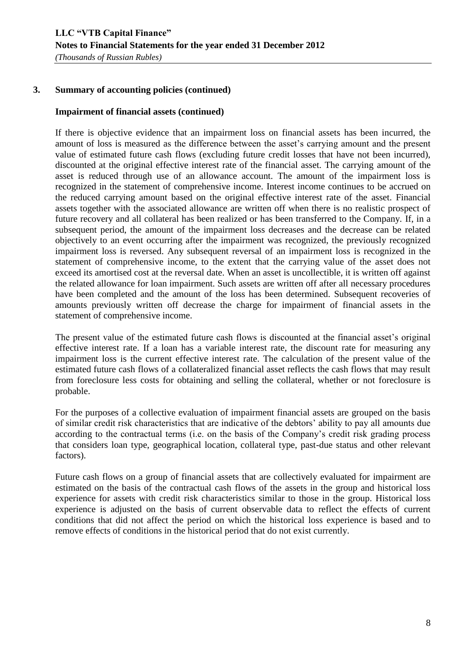#### **Impairment of financial assets (continued)**

If there is objective evidence that an impairment loss on financial assets has been incurred, the amount of loss is measured as the difference between the asset's carrying amount and the present value of estimated future cash flows (excluding future credit losses that have not been incurred), discounted at the original effective interest rate of the financial asset. The carrying amount of the asset is reduced through use of an allowance account. The amount of the impairment loss is recognized in the statement of comprehensive income. Interest income continues to be accrued on the reduced carrying amount based on the original effective interest rate of the asset. Financial assets together with the associated allowance are written off when there is no realistic prospect of future recovery and all collateral has been realized or has been transferred to the Company. If, in a subsequent period, the amount of the impairment loss decreases and the decrease can be related objectively to an event occurring after the impairment was recognized, the previously recognized impairment loss is reversed. Any subsequent reversal of an impairment loss is recognized in the statement of comprehensive income, to the extent that the carrying value of the asset does not exceed its amortised cost at the reversal date. When an asset is uncollectible, it is written off against the related allowance for loan impairment. Such assets are written off after all necessary procedures have been completed and the amount of the loss has been determined. Subsequent recoveries of amounts previously written off decrease the charge for impairment of financial assets in the statement of comprehensive income.

The present value of the estimated future cash flows is discounted at the financial asset's original effective interest rate. If a loan has a variable interest rate, the discount rate for measuring any impairment loss is the current effective interest rate. The calculation of the present value of the estimated future cash flows of a collateralized financial asset reflects the cash flows that may result from foreclosure less costs for obtaining and selling the collateral, whether or not foreclosure is probable.

For the purposes of a collective evaluation of impairment financial assets are grouped on the basis of similar credit risk characteristics that are indicative of the debtors' ability to pay all amounts due according to the contractual terms (i.e. on the basis of the Company's credit risk grading process that considers loan type, geographical location, collateral type, past-due status and other relevant factors).

Future cash flows on a group of financial assets that are collectively evaluated for impairment are estimated on the basis of the contractual cash flows of the assets in the group and historical loss experience for assets with credit risk characteristics similar to those in the group. Historical loss experience is adjusted on the basis of current observable data to reflect the effects of current conditions that did not affect the period on which the historical loss experience is based and to remove effects of conditions in the historical period that do not exist currently.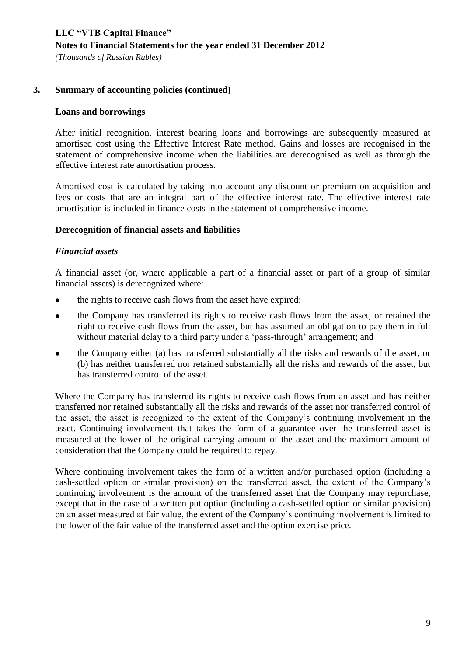#### **Loans and borrowings**

After initial recognition, interest bearing loans and borrowings are subsequently measured at amortised cost using the Effective Interest Rate method. Gains and losses are recognised in the statement of comprehensive income when the liabilities are derecognised as well as through the effective interest rate amortisation process.

Amortised cost is calculated by taking into account any discount or premium on acquisition and fees or costs that are an integral part of the effective interest rate. The effective interest rate amortisation is included in finance costs in the statement of comprehensive income.

#### **Derecognition of financial assets and liabilities**

#### *Financial assets*

A financial asset (or, where applicable a part of a financial asset or part of a group of similar financial assets) is derecognized where:

- the rights to receive cash flows from the asset have expired;
- the Company has transferred its rights to receive cash flows from the asset, or retained the  $\bullet$ right to receive cash flows from the asset, but has assumed an obligation to pay them in full without material delay to a third party under a 'pass-through' arrangement; and
- the Company either (a) has transferred substantially all the risks and rewards of the asset, or  $\bullet$ (b) has neither transferred nor retained substantially all the risks and rewards of the asset, but has transferred control of the asset.

Where the Company has transferred its rights to receive cash flows from an asset and has neither transferred nor retained substantially all the risks and rewards of the asset nor transferred control of the asset, the asset is recognized to the extent of the Company's continuing involvement in the asset. Continuing involvement that takes the form of a guarantee over the transferred asset is measured at the lower of the original carrying amount of the asset and the maximum amount of consideration that the Company could be required to repay.

Where continuing involvement takes the form of a written and/or purchased option (including a cash-settled option or similar provision) on the transferred asset, the extent of the Company's continuing involvement is the amount of the transferred asset that the Company may repurchase, except that in the case of a written put option (including a cash-settled option or similar provision) on an asset measured at fair value, the extent of the Company's continuing involvement is limited to the lower of the fair value of the transferred asset and the option exercise price.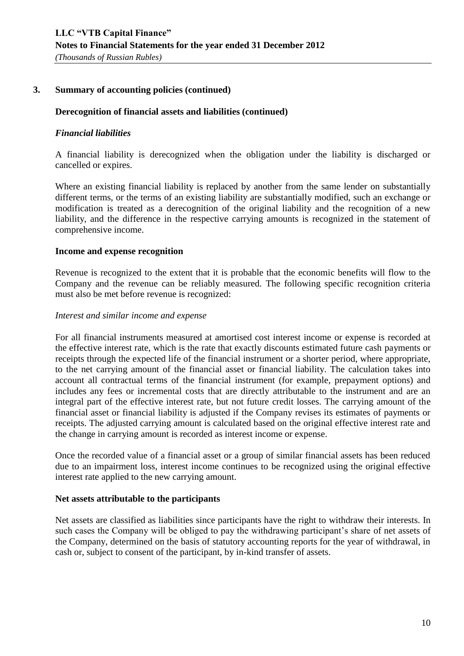#### **Derecognition of financial assets and liabilities (continued)**

#### *Financial liabilities*

A financial liability is derecognized when the obligation under the liability is discharged or cancelled or expires.

Where an existing financial liability is replaced by another from the same lender on substantially different terms, or the terms of an existing liability are substantially modified, such an exchange or modification is treated as a derecognition of the original liability and the recognition of a new liability, and the difference in the respective carrying amounts is recognized in the statement of comprehensive income.

#### **Income and expense recognition**

Revenue is recognized to the extent that it is probable that the economic benefits will flow to the Company and the revenue can be reliably measured. The following specific recognition criteria must also be met before revenue is recognized:

#### *Interest and similar income and expense*

For all financial instruments measured at amortised cost interest income or expense is recorded at the effective interest rate, which is the rate that exactly discounts estimated future cash payments or receipts through the expected life of the financial instrument or a shorter period, where appropriate, to the net carrying amount of the financial asset or financial liability. The calculation takes into account all contractual terms of the financial instrument (for example, prepayment options) and includes any fees or incremental costs that are directly attributable to the instrument and are an integral part of the effective interest rate, but not future credit losses. The carrying amount of the financial asset or financial liability is adjusted if the Company revises its estimates of payments or receipts. The adjusted carrying amount is calculated based on the original effective interest rate and the change in carrying amount is recorded as interest income or expense.

Once the recorded value of a financial asset or a group of similar financial assets has been reduced due to an impairment loss, interest income continues to be recognized using the original effective interest rate applied to the new carrying amount.

#### **Net assets attributable to the participants**

Net assets are classified as liabilities since participants have the right to withdraw their interests. In such cases the Company will be obliged to pay the withdrawing participant's share of net assets of the Company, determined on the basis of statutory accounting reports for the year of withdrawal, in cash or, subject to consent of the participant, by in-kind transfer of assets.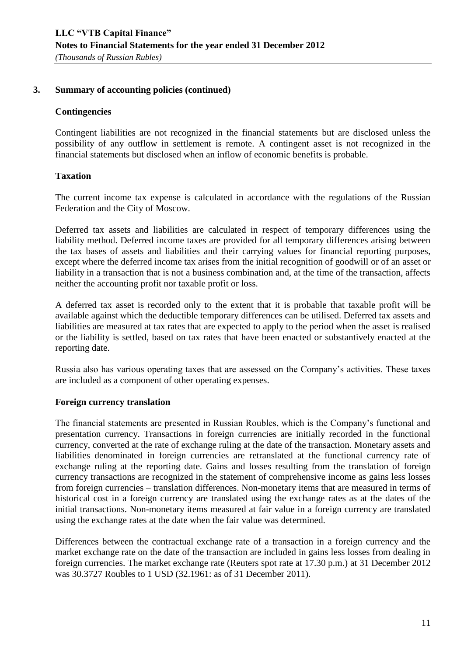#### **Contingencies**

Contingent liabilities are not recognized in the financial statements but are disclosed unless the possibility of any outflow in settlement is remote. A contingent asset is not recognized in the financial statements but disclosed when an inflow of economic benefits is probable.

## **Taxation**

The current income tax expense is calculated in accordance with the regulations of the Russian Federation and the City of Moscow.

Deferred tax assets and liabilities are calculated in respect of temporary differences using the liability method. Deferred income taxes are provided for all temporary differences arising between the tax bases of assets and liabilities and their carrying values for financial reporting purposes, except where the deferred income tax arises from the initial recognition of goodwill or of an asset or liability in a transaction that is not a business combination and, at the time of the transaction, affects neither the accounting profit nor taxable profit or loss.

A deferred tax asset is recorded only to the extent that it is probable that taxable profit will be available against which the deductible temporary differences can be utilised. Deferred tax assets and liabilities are measured at tax rates that are expected to apply to the period when the asset is realised or the liability is settled, based on tax rates that have been enacted or substantively enacted at the reporting date.

Russia also has various operating taxes that are assessed on the Company's activities. These taxes are included as a component of other operating expenses.

#### **Foreign currency translation**

The financial statements are presented in Russian Roubles, which is the Company's functional and presentation currency. Transactions in foreign currencies are initially recorded in the functional currency, converted at the rate of exchange ruling at the date of the transaction. Monetary assets and liabilities denominated in foreign currencies are retranslated at the functional currency rate of exchange ruling at the reporting date. Gains and losses resulting from the translation of foreign currency transactions are recognized in the statement of comprehensive income as gains less losses from foreign currencies – translation differences. Non-monetary items that are measured in terms of historical cost in a foreign currency are translated using the exchange rates as at the dates of the initial transactions. Non-monetary items measured at fair value in a foreign currency are translated using the exchange rates at the date when the fair value was determined.

Differences between the contractual exchange rate of a transaction in a foreign currency and the market exchange rate on the date of the transaction are included in gains less losses from dealing in foreign currencies. The market exchange rate (Reuters spot rate at 17.30 p.m.) at 31 December 2012 was 30.3727 Roubles to 1 USD (32.1961: as of 31 December 2011).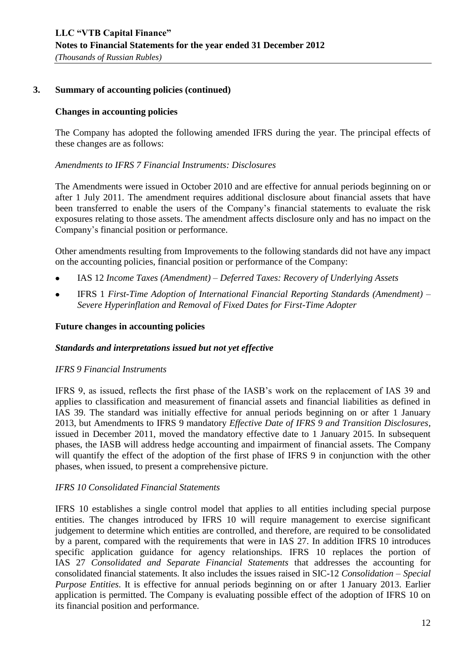#### **Changes in accounting policies**

The Company has adopted the following amended IFRS during the year. The principal effects of these changes are as follows:

## *Amendments to IFRS 7 Financial Instruments: Disclosures*

The Amendments were issued in October 2010 and are effective for annual periods beginning on or after 1 July 2011. The amendment requires additional disclosure about financial assets that have been transferred to enable the users of the Company's financial statements to evaluate the risk exposures relating to those assets. The amendment affects disclosure only and has no impact on the Company's financial position or performance.

Other amendments resulting from Improvements to the following standards did not have any impact on the accounting policies, financial position or performance of the Company:

- IAS 12 *Income Taxes (Amendment) – Deferred Taxes: Recovery of Underlying Assets*
- IFRS 1 *First-Time Adoption of International Financial Reporting Standards (Amendment) –*  $\bullet$ *Severe Hyperinflation and Removal of Fixed Dates for First-Time Adopter*

## **Future changes in accounting policies**

#### *Standards and interpretations issued but not yet effective*

#### *IFRS 9 Financial Instruments*

IFRS 9, as issued, reflects the first phase of the IASB's work on the replacement of IAS 39 and applies to classification and measurement of financial assets and financial liabilities as defined in IAS 39. The standard was initially effective for annual periods beginning on or after 1 January 2013, but Amendments to IFRS 9 mandatory *Effective Date of IFRS 9 and Transition Disclosures*, issued in December 2011, moved the mandatory effective date to 1 January 2015. In subsequent phases, the IASB will address hedge accounting and impairment of financial assets. The Company will quantify the effect of the adoption of the first phase of IFRS 9 in conjunction with the other phases, when issued, to present a comprehensive picture.

#### *IFRS 10 Consolidated Financial Statements*

IFRS 10 establishes a single control model that applies to all entities including special purpose entities. The changes introduced by IFRS 10 will require management to exercise significant judgement to determine which entities are controlled, and therefore, are required to be consolidated by a parent, compared with the requirements that were in IAS 27. In addition IFRS 10 introduces specific application guidance for agency relationships. IFRS 10 replaces the portion of IAS 27 *Consolidated and Separate Financial Statements* that addresses the accounting for consolidated financial statements. It also includes the issues raised in SIC-12 *Consolidation – Special Purpose Entities*. It is effective for annual periods beginning on or after 1 January 2013. Earlier application is permitted. The Company is evaluating possible effect of the adoption of IFRS 10 on its financial position and performance.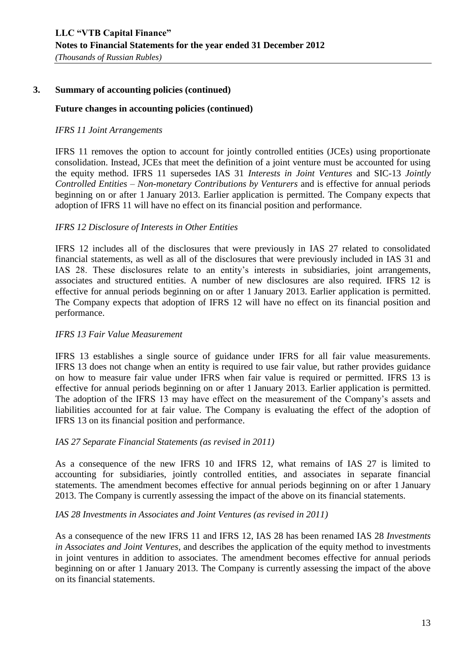## **Future changes in accounting policies (continued)**

## *IFRS 11 Joint Arrangements*

IFRS 11 removes the option to account for jointly controlled entities (JCEs) using proportionate consolidation. Instead, JCEs that meet the definition of a joint venture must be accounted for using the equity method. IFRS 11 supersedes IAS 31 *Interests in Joint Ventures* and SIC-13 *Jointly Controlled Entities – Non-monetary Contributions by Venturers* and is effective for annual periods beginning on or after 1 January 2013. Earlier application is permitted. The Company expects that adoption of IFRS 11 will have no effect on its financial position and performance.

## *IFRS 12 Disclosure of Interests in Other Entities*

IFRS 12 includes all of the disclosures that were previously in IAS 27 related to consolidated financial statements, as well as all of the disclosures that were previously included in IAS 31 and IAS 28. These disclosures relate to an entity's interests in subsidiaries, joint arrangements, associates and structured entities. A number of new disclosures are also required. IFRS 12 is effective for annual periods beginning on or after 1 January 2013. Earlier application is permitted. The Company expects that adoption of IFRS 12 will have no effect on its financial position and performance.

#### *IFRS 13 Fair Value Measurement*

IFRS 13 establishes a single source of guidance under IFRS for all fair value measurements. IFRS 13 does not change when an entity is required to use fair value, but rather provides guidance on how to measure fair value under IFRS when fair value is required or permitted. IFRS 13 is effective for annual periods beginning on or after 1 January 2013. Earlier application is permitted. The adoption of the IFRS 13 may have effect on the measurement of the Company's assets and liabilities accounted for at fair value. The Company is evaluating the effect of the adoption of IFRS 13 on its financial position and performance.

#### *IAS 27 Separate Financial Statements (as revised in 2011)*

As a consequence of the new IFRS 10 and IFRS 12, what remains of IAS 27 is limited to accounting for subsidiaries, jointly controlled entities, and associates in separate financial statements. The amendment becomes effective for annual periods beginning on or after 1 January 2013. The Company is currently assessing the impact of the above on its financial statements.

#### *IAS 28 Investments in Associates and Joint Ventures (as revised in 2011)*

As a consequence of the new IFRS 11 and IFRS 12, IAS 28 has been renamed IAS 28 *Investments in Associates and Joint Ventures*, and describes the application of the equity method to investments in joint ventures in addition to associates. The amendment becomes effective for annual periods beginning on or after 1 January 2013. The Company is currently assessing the impact of the above on its financial statements.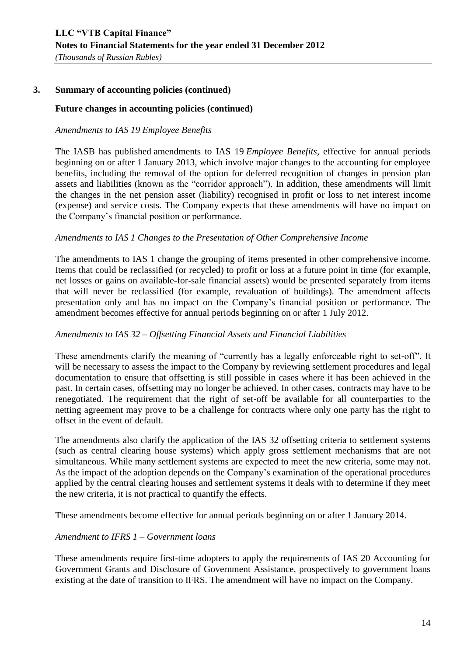## **Future changes in accounting policies (continued)**

## *Amendments to IAS 19 Employee Benefits*

The IASB has published [amendments to IAS 19](http://gaait-aa.ey.net/Document.aspx?NodeId=936127&ProductId=333) *Employee Benefits*, effective for annual periods beginning on or after 1 January 2013, which involve major changes to the accounting for employee benefits, including the removal of the option for deferred recognition of changes in pension plan assets and liabilities (known as the "corridor approach"). In addition, these amendments will limit the changes in the net pension asset (liability) recognised in profit or loss to net interest income (expense) and service costs. The Company expects that these amendments will have no impact on the Company's financial position or performance.

#### *Amendments to IAS 1 Changes to the Presentation of Other Comprehensive Income*

The amendments to IAS 1 change the grouping of items presented in other comprehensive income. Items that could be reclassified (or recycled) to profit or loss at a future point in time (for example, net losses or gains on available-for-sale financial assets) would be presented separately from items that will never be reclassified (for example, revaluation of buildings). The amendment affects presentation only and has no impact on the Company's financial position or performance. The amendment becomes effective for annual periods beginning on or after 1 July 2012.

#### *Amendments to IAS 32 – Offsetting Financial Assets and Financial Liabilities*

These amendments clarify the meaning of "currently has a legally enforceable right to set-off". It will be necessary to assess the impact to the Company by reviewing settlement procedures and legal documentation to ensure that offsetting is still possible in cases where it has been achieved in the past. In certain cases, offsetting may no longer be achieved. In other cases, contracts may have to be renegotiated. The requirement that the right of set-off be available for all counterparties to the netting agreement may prove to be a challenge for contracts where only one party has the right to offset in the event of default.

The amendments also clarify the application of the IAS 32 offsetting criteria to settlement systems (such as central clearing house systems) which apply gross settlement mechanisms that are not simultaneous. While many settlement systems are expected to meet the new criteria, some may not. As the impact of the adoption depends on the Company's examination of the operational procedures applied by the central clearing houses and settlement systems it deals with to determine if they meet the new criteria, it is not practical to quantify the effects.

These amendments become effective for annual periods beginning on or after 1 January 2014.

### *Amendment to IFRS 1 – Government loans*

These amendments require first-time adopters to apply the requirements of IAS 20 Accounting for Government Grants and Disclosure of Government Assistance, prospectively to government loans existing at the date of transition to IFRS. The amendment will have no impact on the Company.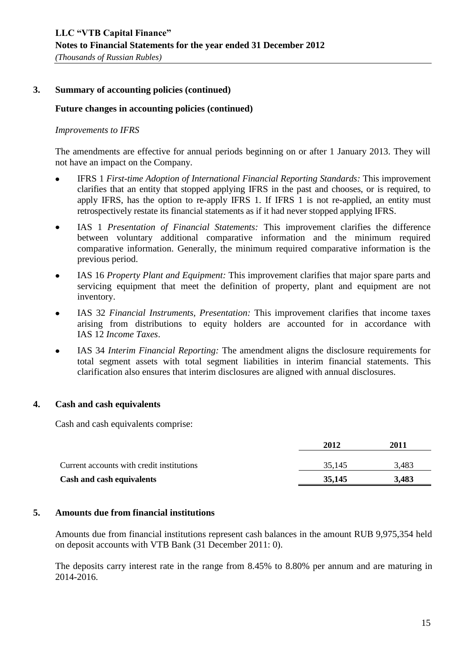#### **Future changes in accounting policies (continued)**

#### *Improvements to IFRS*

The amendments are effective for annual periods beginning on or after 1 January 2013. They will not have an impact on the Company.

- IFRS 1 *First-time Adoption of International Financial Reporting Standards:* This improvement clarifies that an entity that stopped applying IFRS in the past and chooses, or is required, to apply IFRS, has the option to re-apply IFRS 1. If IFRS 1 is not re-applied, an entity must retrospectively restate its financial statements as if it had never stopped applying IFRS.
- IAS 1 *Presentation of Financial Statements:* This improvement clarifies the difference  $\bullet$ between voluntary additional comparative information and the minimum required comparative information. Generally, the minimum required comparative information is the previous period.
- IAS 16 *Property Plant and Equipment:* This improvement clarifies that major spare parts and  $\bullet$ servicing equipment that meet the definition of property, plant and equipment are not inventory.
- IAS 32 *Financial Instruments, Presentation:* This improvement clarifies that income taxes  $\bullet$ arising from distributions to equity holders are accounted for in accordance with IAS 12 *Income Taxes*.
- IAS 34 *Interim Financial Reporting:* The amendment aligns the disclosure requirements for total segment assets with total segment liabilities in interim financial statements. This clarification also ensures that interim disclosures are aligned with annual disclosures.

#### **4. Cash and cash equivalents**

Cash and cash equivalents comprise:

|                                           | 2012   | 2011  |
|-------------------------------------------|--------|-------|
| Current accounts with credit institutions | 35.145 | 3.483 |
| <b>Cash and cash equivalents</b>          | 35,145 | 3,483 |

#### **5. Amounts due from financial institutions**

Amounts due from financial institutions represent cash balances in the amount RUB 9,975,354 held on deposit accounts with VTB Bank (31 December 2011: 0).

The deposits carry interest rate in the range from 8.45% to 8.80% per annum and are maturing in 2014-2016.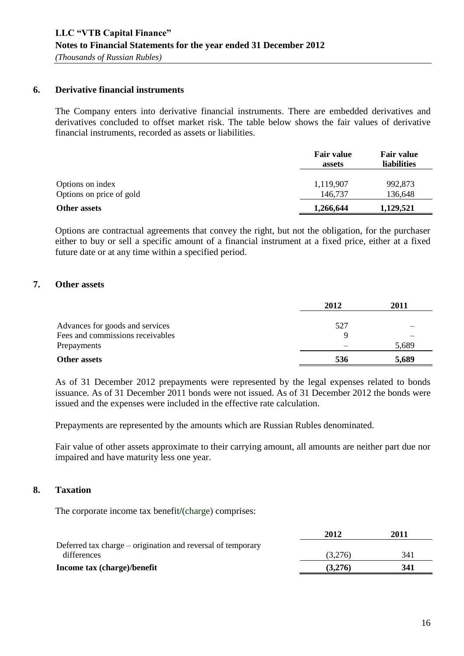### **6. Derivative financial instruments**

The Company enters into derivative financial instruments. There are embedded derivatives and derivatives concluded to offset market risk. The table below shows the fair values of derivative financial instruments, recorded as assets or liabilities.

|                          | <b>Fair value</b><br>assets | <b>Fair value</b><br><b>liabilities</b> |
|--------------------------|-----------------------------|-----------------------------------------|
| Options on index         | 1,119,907                   | 992,873                                 |
| Options on price of gold | 146,737                     | 136,648                                 |
| Other assets             | 1,266,644                   | 1,129,521                               |

Options are contractual agreements that convey the right, but not the obligation, for the purchaser either to buy or sell a specific amount of a financial instrument at a fixed price, either at a fixed future date or at any time within a specified period.

#### **7. Other assets**

|                                  | 2012 | 2011  |
|----------------------------------|------|-------|
| Advances for goods and services  | 527  |       |
| Fees and commissions receivables |      |       |
| Prepayments                      |      | 5,689 |
| Other assets                     | 536  | 5,689 |

As of 31 December 2012 prepayments were represented by the legal expenses related to bonds issuance. As of 31 December 2011 bonds were not issued. As of 31 December 2012 the bonds were issued and the expenses were included in the effective rate calculation.

Prepayments are represented by the amounts which are Russian Rubles denominated.

Fair value of other assets approximate to their carrying amount, all amounts are neither part due nor impaired and have maturity less one year.

#### **8. Taxation**

The corporate income tax benefit**/**(charge) comprises:

|                                                             | 2012    | 2011 |
|-------------------------------------------------------------|---------|------|
| Deferred tax charge – origination and reversal of temporary |         |      |
| differences                                                 | (3.276) | 341  |
| Income tax (charge)/benefit                                 | (3,276) | 341  |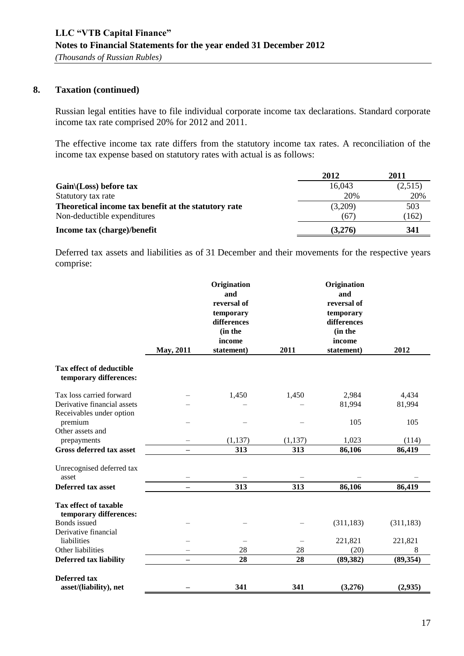## **8. Taxation (continued)**

Russian legal entities have to file individual corporate income tax declarations. Standard corporate income tax rate comprised 20% for 2012 and 2011.

The effective income tax rate differs from the statutory income tax rates. A reconciliation of the income tax expense based on statutory rates with actual is as follows:

|                                                      | 2012    | 2011    |
|------------------------------------------------------|---------|---------|
| $Gain \setminus (Loss)$ before tax                   | 16,043  | (2,515) |
| Statutory tax rate                                   | 20%     | 20%     |
| Theoretical income tax benefit at the statutory rate | (3,209) | 503     |
| Non-deductible expenditures                          | (67)    | (162)   |
| Income tax (charge)/benefit                          | (3,276) | 341     |

Deferred tax assets and liabilities as of 31 December and their movements for the respective years comprise:

|                                                           | May, 2011                | Origination<br>and<br>reversal of<br>temporary<br>differences<br>(in the<br>income<br>statement) | 2011     | Origination<br>and<br>reversal of<br>temporary<br>differences<br>(in the<br>income<br>statement) | 2012       |
|-----------------------------------------------------------|--------------------------|--------------------------------------------------------------------------------------------------|----------|--------------------------------------------------------------------------------------------------|------------|
|                                                           |                          |                                                                                                  |          |                                                                                                  |            |
| <b>Tax effect of deductible</b><br>temporary differences: |                          |                                                                                                  |          |                                                                                                  |            |
| Tax loss carried forward                                  |                          | 1,450                                                                                            | 1,450    | 2,984                                                                                            | 4,434      |
| Derivative financial assets                               |                          |                                                                                                  |          | 81,994                                                                                           | 81,994     |
| Receivables under option<br>premium                       |                          |                                                                                                  |          | 105                                                                                              | 105        |
| Other assets and                                          |                          |                                                                                                  |          |                                                                                                  |            |
| prepayments                                               |                          | (1, 137)                                                                                         | (1, 137) | 1,023                                                                                            | (114)      |
| <b>Gross deferred tax asset</b>                           | $\overline{\phantom{0}}$ | 313                                                                                              | 313      | 86,106                                                                                           | 86,419     |
| Unrecognised deferred tax<br>asset                        |                          |                                                                                                  |          |                                                                                                  |            |
| <b>Deferred tax asset</b>                                 |                          | 313                                                                                              | 313      | 86,106                                                                                           | 86,419     |
|                                                           |                          |                                                                                                  |          |                                                                                                  |            |
| Tax effect of taxable<br>temporary differences:           |                          |                                                                                                  |          |                                                                                                  |            |
| <b>Bonds</b> issued                                       |                          |                                                                                                  |          | (311, 183)                                                                                       | (311, 183) |
| Derivative financial<br>liabilities                       |                          |                                                                                                  |          | 221,821                                                                                          | 221,821    |
| Other liabilities                                         |                          | 28                                                                                               | 28       | (20)                                                                                             | 8          |
| <b>Deferred tax liability</b>                             |                          | 28                                                                                               | 28       | (89, 382)                                                                                        | (89, 354)  |
|                                                           |                          |                                                                                                  |          |                                                                                                  |            |
| <b>Deferred tax</b>                                       |                          |                                                                                                  |          |                                                                                                  |            |
| asset/(liability), net                                    |                          | 341                                                                                              | 341      | (3,276)                                                                                          | (2,935)    |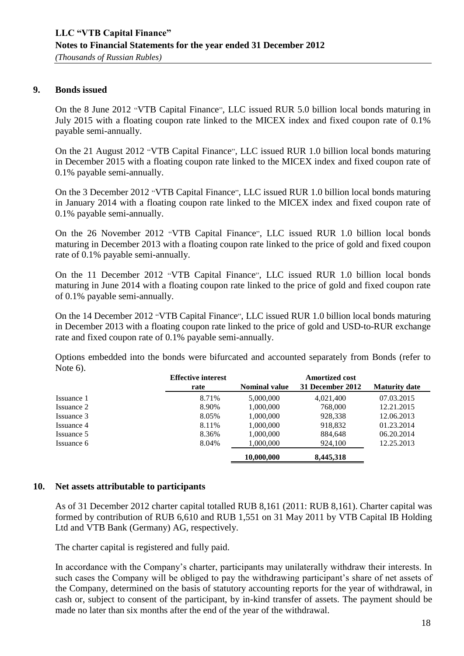## **9. Bonds issued**

On the 8 June 2012 "VTB Capital Finance", LLC issued RUR 5.0 billion local bonds maturing in July 2015 with a floating coupon rate linked to the MICEX index and fixed coupon rate of 0.1% payable semi-annually.

On the 21 August 2012 "VTB Capital Finance", LLC issued RUR 1.0 billion local bonds maturing in December 2015 with a floating coupon rate linked to the MICEX index and fixed coupon rate of 0.1% payable semi-annually.

On the 3 December 2012 "VTB Capital Finance", LLC issued RUR 1.0 billion local bonds maturing in January 2014 with a floating coupon rate linked to the MICEX index and fixed coupon rate of 0.1% payable semi-annually.

On the 26 November 2012 "VTB Capital Finance", LLC issued RUR 1.0 billion local bonds maturing in December 2013 with a floating coupon rate linked to the price of gold and fixed coupon rate of 0.1% payable semi-annually.

On the 11 December 2012 "VTB Capital Finance", LLC issued RUR 1.0 billion local bonds maturing in June 2014 with a floating coupon rate linked to the price of gold and fixed coupon rate of 0.1% payable semi-annually.

On the 14 December 2012 "VTB Capital Finance", LLC issued RUR 1.0 billion local bonds maturing in December 2013 with a floating coupon rate linked to the price of gold and USD-to-RUR exchange rate and fixed coupon rate of 0.1% payable semi-annually.

Options embedded into the bonds were bifurcated and accounted separately from Bonds (refer to Note 6).

|            | <b>Effective interest</b> |                      | <b>Amortized cost</b> |                      |
|------------|---------------------------|----------------------|-----------------------|----------------------|
|            | rate                      | <b>Nominal value</b> | 31 December 2012      | <b>Maturity date</b> |
| Issuance 1 | 8.71%                     | 5,000,000            | 4,021,400             | 07.03.2015           |
| Issuance 2 | 8.90%                     | 1,000,000            | 768,000               | 12.21.2015           |
| Issuance 3 | 8.05%                     | 1,000,000            | 928,338               | 12.06.2013           |
| Issuance 4 | 8.11%                     | 1,000,000            | 918,832               | 01.23.2014           |
| Issuance 5 | 8.36%                     | 1,000,000            | 884,648               | 06.20.2014           |
| Issuance 6 | 8.04%                     | 1,000,000            | 924,100               | 12.25.2013           |
|            |                           | 10,000,000           | 8,445,318             |                      |

#### **10. Net assets attributable to participants**

As of 31 December 2012 charter capital totalled RUB 8,161 (2011: RUB 8,161). Charter capital was formed by contribution of RUB 6,610 and RUB 1,551 on 31 May 2011 by VTB Capital IB Holding Ltd and VTB Bank (Germany) AG, respectively.

The charter capital is registered and fully paid.

In accordance with the Company's charter, participants may unilaterally withdraw their interests. In such cases the Company will be obliged to pay the withdrawing participant's share of net assets of the Company, determined on the basis of statutory accounting reports for the year of withdrawal, in cash or, subject to consent of the participant, by in-kind transfer of assets. The payment should be made no later than six months after the end of the year of the withdrawal.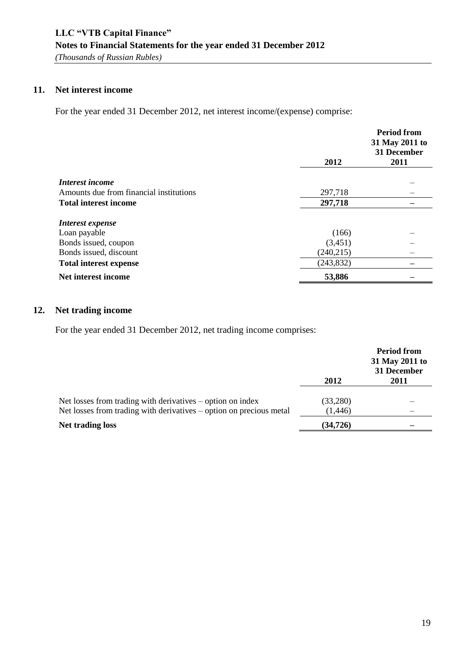# **11. Net interest income**

For the year ended 31 December 2012, net interest income/(expense) comprise:

|                                         |            | <b>Period from</b><br>31 May 2011 to<br><b>31 December</b> |
|-----------------------------------------|------------|------------------------------------------------------------|
|                                         | 2012       | 2011                                                       |
| Interest income                         |            |                                                            |
| Amounts due from financial institutions | 297,718    |                                                            |
| <b>Total interest income</b>            | 297,718    |                                                            |
| Interest expense                        |            |                                                            |
| Loan payable                            | (166)      |                                                            |
| Bonds issued, coupon                    | (3,451)    |                                                            |
| Bonds issued, discount                  | (240, 215) |                                                            |
| <b>Total interest expense</b>           | (243, 832) |                                                            |
| Net interest income                     | 53,886     |                                                            |

## **12. Net trading income**

For the year ended 31 December 2012, net trading income comprises:

|                                                                                                                                     | 2012                  | <b>Period from</b><br>31 May 2011 to<br>31 December<br>2011 |
|-------------------------------------------------------------------------------------------------------------------------------------|-----------------------|-------------------------------------------------------------|
| Net losses from trading with derivatives $-$ option on index<br>Net losses from trading with derivatives – option on precious metal | (33, 280)<br>(1, 446) |                                                             |
| Net trading loss                                                                                                                    | (34, 726)             |                                                             |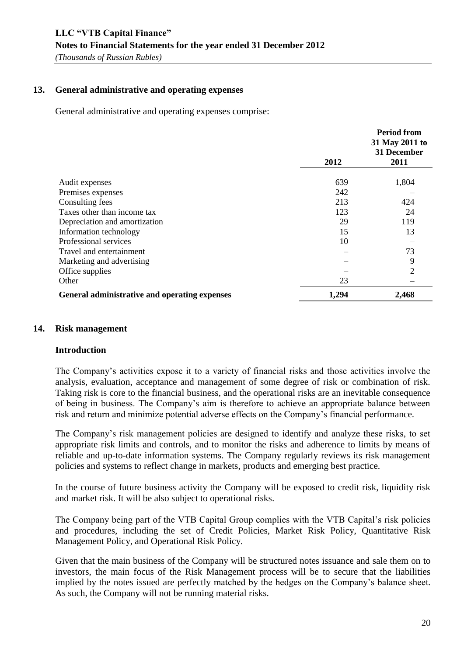## **13. General administrative and operating expenses**

General administrative and operating expenses comprise:

|                                               |       | <b>Period from</b><br>31 May 2011 to<br>31 December |
|-----------------------------------------------|-------|-----------------------------------------------------|
|                                               | 2012  | 2011                                                |
| Audit expenses                                | 639   | 1,804                                               |
| Premises expenses                             | 242   |                                                     |
| Consulting fees                               | 213   | 424                                                 |
| Taxes other than income tax                   | 123   | 24                                                  |
| Depreciation and amortization                 | 29    | 119                                                 |
| Information technology                        | 15    | 13                                                  |
| Professional services                         | 10    |                                                     |
| Travel and entertainment                      |       | 73                                                  |
| Marketing and advertising                     |       | 9                                                   |
| Office supplies                               |       | 2                                                   |
| Other                                         | 23    |                                                     |
| General administrative and operating expenses | 1,294 | 2,468                                               |

#### **14. Risk management**

#### **Introduction**

The Company's activities expose it to a variety of financial risks and those activities involve the analysis, evaluation, acceptance and management of some degree of risk or combination of risk. Taking risk is core to the financial business, and the operational risks are an inevitable consequence of being in business. The Company's aim is therefore to achieve an appropriate balance between risk and return and minimize potential adverse effects on the Company's financial performance.

The Company's risk management policies are designed to identify and analyze these risks, to set appropriate risk limits and controls, and to monitor the risks and adherence to limits by means of reliable and up-to-date information systems. The Company regularly reviews its risk management policies and systems to reflect change in markets, products and emerging best practice.

In the course of future business activity the Company will be exposed to credit risk, liquidity risk and market risk. It will be also subject to operational risks.

The Company being part of the VTB Capital Group complies with the VTB Capital's risk policies and procedures, including the set of Credit Policies, Market Risk Policy, Quantitative Risk Management Policy, and Operational Risk Policy.

Given that the main business of the Company will be structured notes issuance and sale them on to investors, the main focus of the Risk Management process will be to secure that the liabilities implied by the notes issued are perfectly matched by the hedges on the Company's balance sheet. As such, the Company will not be running material risks.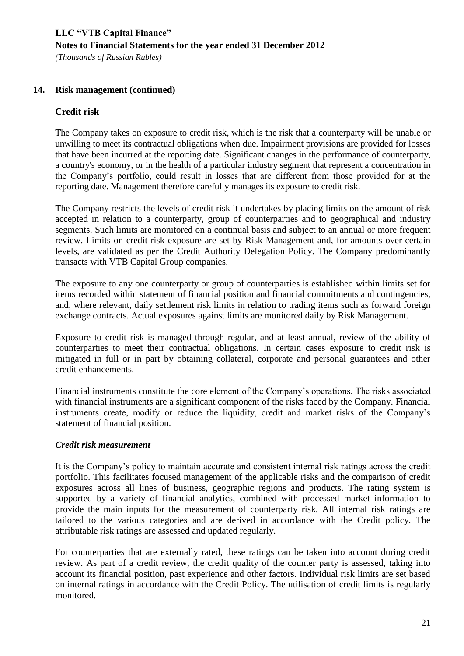### **Credit risk**

The Company takes on exposure to credit risk, which is the risk that a counterparty will be unable or unwilling to meet its contractual obligations when due. Impairment provisions are provided for losses that have been incurred at the reporting date. Significant changes in the performance of counterparty, a country's economy, or in the health of a particular industry segment that represent a concentration in the Company's portfolio, could result in losses that are different from those provided for at the reporting date. Management therefore carefully manages its exposure to credit risk.

The Company restricts the levels of credit risk it undertakes by placing limits on the amount of risk accepted in relation to a counterparty, group of counterparties and to geographical and industry segments. Such limits are monitored on a continual basis and subject to an annual or more frequent review. Limits on credit risk exposure are set by Risk Management and, for amounts over certain levels, are validated as per the Credit Authority Delegation Policy. The Company predominantly transacts with VTB Capital Group companies.

The exposure to any one counterparty or group of counterparties is established within limits set for items recorded within statement of financial position and financial commitments and contingencies, and, where relevant, daily settlement risk limits in relation to trading items such as forward foreign exchange contracts. Actual exposures against limits are monitored daily by Risk Management.

Exposure to credit risk is managed through regular, and at least annual, review of the ability of counterparties to meet their contractual obligations. In certain cases exposure to credit risk is mitigated in full or in part by obtaining collateral, corporate and personal guarantees and other credit enhancements.

Financial instruments constitute the core element of the Company's operations. The risks associated with financial instruments are a significant component of the risks faced by the Company. Financial instruments create, modify or reduce the liquidity, credit and market risks of the Company's statement of financial position.

#### *Credit risk measurement*

It is the Company's policy to maintain accurate and consistent internal risk ratings across the credit portfolio. This facilitates focused management of the applicable risks and the comparison of credit exposures across all lines of business, geographic regions and products. The rating system is supported by a variety of financial analytics, combined with processed market information to provide the main inputs for the measurement of counterparty risk. All internal risk ratings are tailored to the various categories and are derived in accordance with the Credit policy. The attributable risk ratings are assessed and updated regularly.

For counterparties that are externally rated, these ratings can be taken into account during credit review. As part of a credit review, the credit quality of the counter party is assessed, taking into account its financial position, past experience and other factors. Individual risk limits are set based on internal ratings in accordance with the Credit Policy. The utilisation of credit limits is regularly monitored.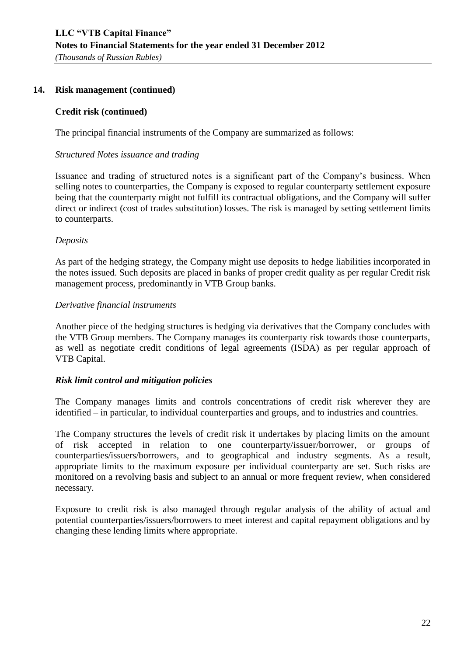#### **Credit risk (continued)**

The principal financial instruments of the Company are summarized as follows:

#### *Structured Notes issuance and trading*

Issuance and trading of structured notes is a significant part of the Company's business. When selling notes to counterparties, the Company is exposed to regular counterparty settlement exposure being that the counterparty might not fulfill its contractual obligations, and the Company will suffer direct or indirect (cost of trades substitution) losses. The risk is managed by setting settlement limits to counterparts.

#### *Deposits*

As part of the hedging strategy, the Company might use deposits to hedge liabilities incorporated in the notes issued. Such deposits are placed in banks of proper credit quality as per regular Credit risk management process, predominantly in VTB Group banks.

#### *Derivative financial instruments*

Another piece of the hedging structures is hedging via derivatives that the Company concludes with the VTB Group members. The Company manages its counterparty risk towards those counterparts, as well as negotiate credit conditions of legal agreements (ISDA) as per regular approach of VTB Capital.

#### *Risk limit control and mitigation policies*

The Company manages limits and controls concentrations of credit risk wherever they are identified – in particular, to individual counterparties and groups, and to industries and countries.

The Company structures the levels of credit risk it undertakes by placing limits on the amount of risk accepted in relation to one counterparty/issuer/borrower, or groups of counterparties/issuers/borrowers, and to geographical and industry segments. As a result, appropriate limits to the maximum exposure per individual counterparty are set. Such risks are monitored on a revolving basis and subject to an annual or more frequent review, when considered necessary.

Exposure to credit risk is also managed through regular analysis of the ability of actual and potential counterparties/issuers/borrowers to meet interest and capital repayment obligations and by changing these lending limits where appropriate.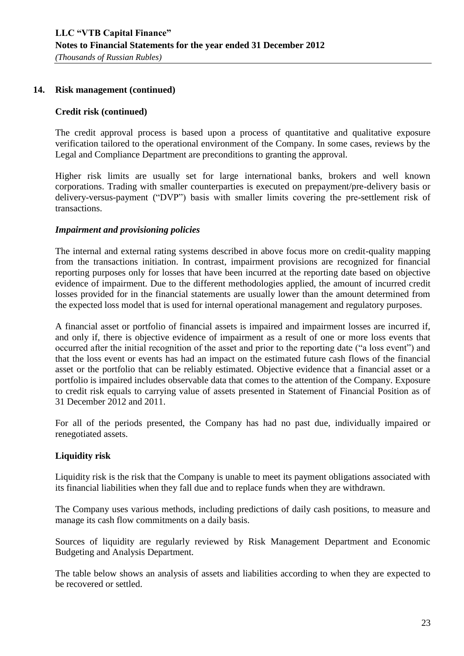#### **Credit risk (continued)**

The credit approval process is based upon a process of quantitative and qualitative exposure verification tailored to the operational environment of the Company. In some cases, reviews by the Legal and Compliance Department are preconditions to granting the approval.

Higher risk limits are usually set for large international banks, brokers and well known corporations. Trading with smaller counterparties is executed on prepayment/pre-delivery basis or delivery-versus-payment ("DVP") basis with smaller limits covering the pre-settlement risk of transactions.

## *Impairment and provisioning policies*

The internal and external rating systems described in above focus more on credit-quality mapping from the transactions initiation. In contrast, impairment provisions are recognized for financial reporting purposes only for losses that have been incurred at the reporting date based on objective evidence of impairment. Due to the different methodologies applied, the amount of incurred credit losses provided for in the financial statements are usually lower than the amount determined from the expected loss model that is used for internal operational management and regulatory purposes.

A financial asset or portfolio of financial assets is impaired and impairment losses are incurred if, and only if, there is objective evidence of impairment as a result of one or more loss events that occurred after the initial recognition of the asset and prior to the reporting date ("a loss event") and that the loss event or events has had an impact on the estimated future cash flows of the financial asset or the portfolio that can be reliably estimated. Objective evidence that a financial asset or a portfolio is impaired includes observable data that comes to the attention of the Company. Exposure to credit risk equals to carrying value of assets presented in Statement of Financial Position as of 31 December 2012 and 2011.

For all of the periods presented, the Company has had no past due, individually impaired or renegotiated assets.

## **Liquidity risk**

Liquidity risk is the risk that the Company is unable to meet its payment obligations associated with its financial liabilities when they fall due and to replace funds when they are withdrawn.

The Company uses various methods, including predictions of daily cash positions, to measure and manage its cash flow commitments on a daily basis.

Sources of liquidity are regularly reviewed by Risk Management Department and Economic Budgeting and Analysis Department.

The table below shows an analysis of assets and liabilities according to when they are expected to be recovered or settled.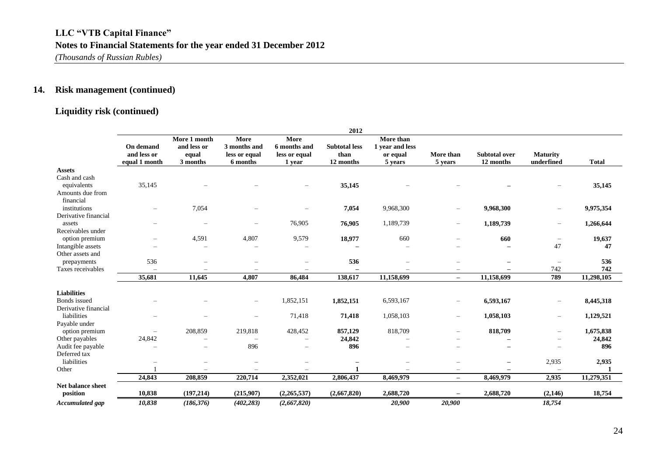## **Liquidity risk (continued)**

|                               |                                           |                                                  |                                                   |                                                 | 2012                                      |                                                     |                                      |                                   |                               |              |
|-------------------------------|-------------------------------------------|--------------------------------------------------|---------------------------------------------------|-------------------------------------------------|-------------------------------------------|-----------------------------------------------------|--------------------------------------|-----------------------------------|-------------------------------|--------------|
|                               | On demand<br>and less or<br>equal 1 month | More 1 month<br>and less or<br>equal<br>3 months | More<br>3 months and<br>less or equal<br>6 months | More<br>6 months and<br>less or equal<br>1 year | <b>Subtotal less</b><br>than<br>12 months | More than<br>1 year and less<br>or equal<br>5 years | More than<br>5 years                 | <b>Subtotal over</b><br>12 months | <b>Maturity</b><br>underfined | <b>Total</b> |
| <b>Assets</b>                 |                                           |                                                  |                                                   |                                                 |                                           |                                                     |                                      |                                   |                               |              |
| Cash and cash                 |                                           |                                                  |                                                   |                                                 |                                           |                                                     |                                      |                                   |                               |              |
| equivalents                   | 35,145                                    |                                                  |                                                   |                                                 | 35,145                                    |                                                     |                                      |                                   |                               | 35,145       |
| Amounts due from<br>financial |                                           |                                                  |                                                   |                                                 |                                           |                                                     |                                      |                                   |                               |              |
| institutions                  | $\qquad \qquad -$                         | 7,054                                            | -                                                 | $\overline{\phantom{m}}$                        | 7,054                                     | 9,968,300                                           | $\overline{\phantom{m}}$             | 9,968,300                         |                               | 9,975,354    |
| Derivative financial          |                                           |                                                  |                                                   |                                                 |                                           |                                                     |                                      |                                   | $\overline{\phantom{m}}$      |              |
| assets                        |                                           | $\overline{\phantom{0}}$                         | $\overline{\phantom{0}}$                          | 76,905                                          | 76,905                                    | 1,189,739                                           | $\overline{\phantom{m}}$             | 1,189,739                         | $\overline{\phantom{m}}$      | 1,266,644    |
| Receivables under             |                                           |                                                  |                                                   |                                                 |                                           |                                                     |                                      |                                   |                               |              |
| option premium                | $\qquad \qquad -$                         | 4,591                                            | 4,807                                             | 9,579                                           | 18,977                                    | 660                                                 |                                      | 660                               | $\overline{\phantom{m}}$      | 19,637       |
| Intangible assets             |                                           | $\overline{\phantom{0}}$                         | $\overline{\phantom{0}}$                          | $\overline{\phantom{0}}$                        |                                           |                                                     |                                      | $\equiv$                          | 47                            | 47           |
| Other assets and              |                                           |                                                  |                                                   |                                                 |                                           |                                                     |                                      |                                   |                               |              |
| prepayments                   | 536                                       |                                                  | $\overline{\phantom{0}}$                          | $\overline{\phantom{m}}$                        | 536                                       |                                                     | $\overline{\phantom{0}}$             |                                   | $\overline{\phantom{m}}$      | 536          |
| Taxes receivables             | $\overline{\phantom{0}}$                  |                                                  | $\overline{\phantom{0}}$                          | $\overline{\phantom{m}}$                        |                                           |                                                     | $\overline{\phantom{m}}$             |                                   | 742                           | 742          |
|                               | 35,681                                    | 11,645                                           | 4,807                                             | 86,484                                          | 138,617                                   | 11,158,699                                          | $\overline{\phantom{a}}$             | 11,158,699                        | 789                           | 11,298,105   |
| <b>Liabilities</b>            |                                           |                                                  |                                                   |                                                 |                                           |                                                     |                                      |                                   |                               |              |
| <b>Bonds</b> issued           |                                           |                                                  | $\qquad \qquad -$                                 | 1,852,151                                       | 1,852,151                                 | 6,593,167                                           | $\overline{\phantom{m}}$             | 6,593,167                         | $\overline{\phantom{m}}$      | 8,445,318    |
| Derivative financial          |                                           |                                                  |                                                   |                                                 |                                           |                                                     |                                      |                                   |                               |              |
| liabilities                   | $\overline{\phantom{0}}$                  |                                                  | $\overline{\phantom{m}}$                          | 71,418                                          | 71,418                                    | 1,058,103                                           | $\overline{\phantom{m}}$             | 1,058,103                         | $\overline{\phantom{m}}$      | 1,129,521    |
| Payable under                 |                                           |                                                  |                                                   |                                                 |                                           |                                                     |                                      |                                   |                               |              |
| option premium                | $-$                                       | 208,859                                          | 219,818                                           | 428,452                                         | 857,129                                   | 818,709                                             | $\overline{\phantom{0}}$             | 818,709                           | $\overline{\phantom{m}}$      | 1,675,838    |
| Other payables                | 24,842                                    |                                                  |                                                   | $\equiv$                                        | 24,842                                    |                                                     |                                      |                                   | $\overline{\phantom{a}}$      | 24,842       |
| Audit fee payable             |                                           | $\overline{\phantom{0}}$                         | 896                                               | $\overline{\phantom{a}}$                        | 896                                       |                                                     |                                      |                                   |                               | 896          |
| Deferred tax                  |                                           |                                                  |                                                   |                                                 |                                           |                                                     |                                      |                                   |                               |              |
| liabilities                   |                                           |                                                  | $\overline{\phantom{m}}$                          | $\overline{\phantom{m}}$                        | $\overbrace{\phantom{12322111}}$<br>1     |                                                     | $\overline{\phantom{0}}$             | $\overline{\phantom{m}}$          | 2,935                         | 2,935        |
| Other                         | 24,843                                    | 208,859                                          | $\overline{\phantom{m}}$<br>220,714               | $\overline{\phantom{m}}$<br>2,352,021           | 2,806,437                                 | 8,469,979                                           | $\overline{\phantom{m}}$<br>$\equiv$ | 8,469,979                         | $\overline{\phantom{m}}$      |              |
| <b>Net balance sheet</b>      |                                           |                                                  |                                                   |                                                 |                                           |                                                     |                                      |                                   | 2,935                         | 11,279,351   |
| position                      | 10,838                                    | (197, 214)                                       | (215,907)                                         | (2,265,537)                                     | (2,667,820)                               | 2,688,720                                           | $\overline{\phantom{0}}$             | 2,688,720                         | (2, 146)                      | 18,754       |
| Accumulated gap               | 10,838                                    | (186, 376)                                       | (402, 283)                                        | (2,667,820)                                     |                                           | 20,900                                              | 20,900                               |                                   | 18,754                        |              |
|                               |                                           |                                                  |                                                   |                                                 |                                           |                                                     |                                      |                                   |                               |              |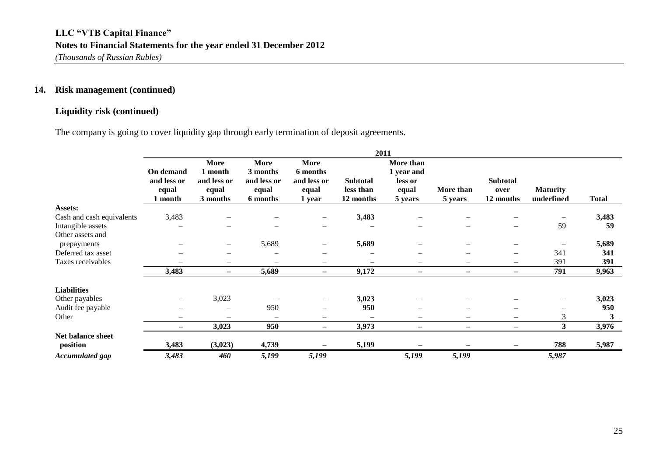## **Liquidity risk (continued)**

The company is going to cover liquidity gap through early termination of deposit agreements.

|                           | 2011                                       |                                                            |                                                      |                                                    |                                           |                                                        |                          |                                      |                               |              |
|---------------------------|--------------------------------------------|------------------------------------------------------------|------------------------------------------------------|----------------------------------------------------|-------------------------------------------|--------------------------------------------------------|--------------------------|--------------------------------------|-------------------------------|--------------|
|                           | On demand<br>and less or<br>equal<br>month | <b>More</b><br>1 month<br>and less or<br>equal<br>3 months | More<br>3 months<br>and less or<br>equal<br>6 months | More<br>6 months<br>and less or<br>equal<br>1 year | <b>Subtotal</b><br>less than<br>12 months | More than<br>1 year and<br>less or<br>equal<br>5 years | More than<br>5 years     | <b>Subtotal</b><br>over<br>12 months | <b>Maturity</b><br>underfined | <b>Total</b> |
| Assets:                   |                                            |                                                            |                                                      |                                                    |                                           |                                                        |                          |                                      |                               |              |
| Cash and cash equivalents | 3,483                                      |                                                            |                                                      | $\overline{\phantom{0}}$                           | 3,483                                     |                                                        |                          |                                      |                               | 3,483        |
| Intangible assets         |                                            |                                                            |                                                      |                                                    |                                           |                                                        |                          |                                      | 59                            | 59           |
| Other assets and          |                                            |                                                            |                                                      |                                                    |                                           |                                                        |                          |                                      |                               |              |
| prepayments               | $\overline{\phantom{0}}$                   | $\overline{\phantom{m}}$                                   | 5,689                                                | $\overline{\phantom{m}}$                           | 5,689                                     | —                                                      | -                        |                                      | $\overline{\phantom{m}}$      | 5,689        |
| Deferred tax asset        |                                            | —                                                          |                                                      | $\qquad \qquad \longleftarrow$                     |                                           |                                                        |                          | $\overline{\phantom{0}}$             | 341                           | 341          |
| Taxes receivables         |                                            | —                                                          |                                                      | $\qquad \qquad -$                                  |                                           | $\overline{\phantom{m}}$                               | -                        | —                                    | 391                           | 391          |
|                           | 3,483                                      | $\qquad \qquad -$                                          | 5,689                                                | $\qquad \qquad -$                                  | 9,172                                     | $\qquad \qquad -$                                      | $\qquad \qquad -$        | $-$                                  | 791                           | 9,963        |
| <b>Liabilities</b>        |                                            |                                                            |                                                      |                                                    |                                           |                                                        |                          |                                      |                               |              |
| Other payables            | $\overline{\phantom{m}}$                   | 3,023                                                      |                                                      | $\qquad \qquad -$                                  | 3,023                                     |                                                        |                          |                                      |                               | 3,023        |
| Audit fee payable         |                                            | $\overline{\phantom{m}}$                                   | 950                                                  | $\qquad \qquad \longleftarrow$                     | 950                                       |                                                        |                          |                                      |                               | 950          |
| Other                     | $\overline{\phantom{m}}$                   | $\overline{\phantom{m}}$                                   | $\overline{\phantom{m}}$                             | $\overline{\phantom{m}}$                           | $\overline{\phantom{0}}$                  | $\overline{\phantom{m}}$                               | $\overline{\phantom{m}}$ | $-$                                  | 3                             | 3            |
|                           | $\qquad \qquad -$                          | 3,023                                                      | 950                                                  | $\overline{\phantom{0}}$                           | 3,973                                     | $\overline{\phantom{m}}$                               | $\overline{\phantom{0}}$ | $-$                                  | $\mathbf{3}$                  | 3,976        |
| <b>Net balance sheet</b>  |                                            |                                                            |                                                      |                                                    |                                           |                                                        |                          |                                      |                               |              |
| position                  | 3,483                                      | (3,023)                                                    | 4,739                                                | $\overline{\phantom{m}}$                           | 5,199                                     | $\qquad \qquad \qquad$                                 |                          |                                      | 788                           | 5,987        |
| <b>Accumulated gap</b>    | 3,483                                      | 460                                                        | 5,199                                                | 5,199                                              |                                           | 5,199                                                  | 5,199                    |                                      | 5,987                         |              |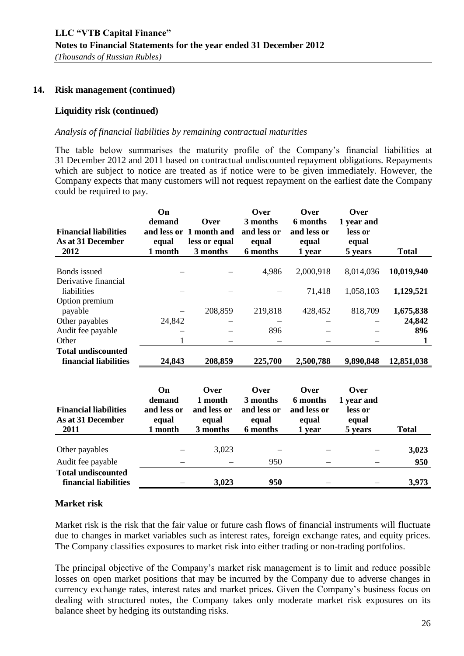## **Liquidity risk (continued)**

#### *Analysis of financial liabilities by remaining contractual maturities*

The table below summarises the maturity profile of the Company's financial liabilities at 31 December 2012 and 2011 based on contractual undiscounted repayment obligations. Repayments which are subject to notice are treated as if notice were to be given immediately. However, the Company expects that many customers will not request repayment on the earliest date the Company could be required to pay.

| On                              |                                  | Over                                                                             | Over                                    | Over                           |                                     |
|---------------------------------|----------------------------------|----------------------------------------------------------------------------------|-----------------------------------------|--------------------------------|-------------------------------------|
| equal                           |                                  | and less or<br>equal                                                             | and less or<br>equal                    | less or<br>equal               |                                     |
|                                 |                                  |                                                                                  |                                         |                                | <b>Total</b>                        |
|                                 |                                  | 4,986                                                                            | 2,000,918                               | 8,014,036                      | 10,019,940                          |
|                                 |                                  |                                                                                  | 71,418                                  | 1,058,103                      | 1,129,521                           |
|                                 | 208,859                          | 219,818                                                                          | 428,452                                 | 818,709                        | 1,675,838                           |
| 24,842                          |                                  |                                                                                  |                                         |                                | 24,842                              |
|                                 |                                  | 896                                                                              |                                         |                                | 896                                 |
|                                 |                                  |                                                                                  |                                         |                                | 1                                   |
| 24,843                          | 208,859                          | 225,700                                                                          | 2,500,788                               | 9,890,848                      | 12,851,038                          |
| On                              | Over                             | Over                                                                             | Over                                    | Over                           |                                     |
| and less or<br>equal<br>1 month | and less or<br>equal<br>3 months | and less or<br>equal<br>6 months                                                 | and less or<br>equal<br>1 year          | less or<br>equal<br>5 years    | <b>Total</b>                        |
|                                 |                                  |                                                                                  |                                         |                                | 3,023                               |
|                                 |                                  |                                                                                  |                                         |                                | 950                                 |
|                                 | 3,023                            | 950                                                                              |                                         |                                | 3,973                               |
|                                 | demand<br>1 month<br>demand      | Over<br>and less or 1 month and<br>less or equal<br>3 months<br>1 month<br>3,023 | 3 months<br>6 months<br>3 months<br>950 | 6 months<br>1 year<br>6 months | 1 year and<br>5 years<br>1 year and |

#### **Market risk**

Market risk is the risk that the fair value or future cash flows of financial instruments will fluctuate due to changes in market variables such as interest rates, foreign exchange rates, and equity prices. The Company classifies exposures to market risk into either trading or non-trading portfolios.

The principal objective of the Company's market risk management is to limit and reduce possible losses on open market positions that may be incurred by the Company due to adverse changes in currency exchange rates, interest rates and market prices. Given the Company's business focus on dealing with structured notes, the Company takes only moderate market risk exposures on its balance sheet by hedging its outstanding risks.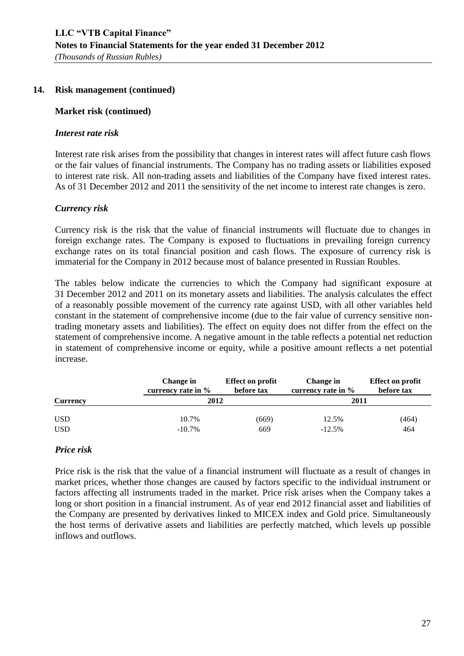### **Market risk (continued)**

### *Interest rate risk*

Interest rate risk arises from the possibility that changes in interest rates will affect future cash flows or the fair values of financial instruments. The Company has no trading assets or liabilities exposed to interest rate risk. All non-trading assets and liabilities of the Company have fixed interest rates. As of 31 December 2012 and 2011 the sensitivity of the net income to interest rate changes is zero.

## *Currency risk*

Currency risk is the risk that the value of financial instruments will fluctuate due to changes in foreign exchange rates. The Company is exposed to fluctuations in prevailing foreign currency exchange rates on its total financial position and cash flows. The exposure of currency risk is immaterial for the Company in 2012 because most of balance presented in Russian Roubles.

The tables below indicate the currencies to which the Company had significant exposure at 31 December 2012 and 2011 on its monetary assets and liabilities. The analysis calculates the effect of a reasonably possible movement of the currency rate against USD, with all other variables held constant in the statement of comprehensive income (due to the fair value of currency sensitive nontrading monetary assets and liabilities). The effect on equity does not differ from the effect on the statement of comprehensive income. A negative amount in the table reflects a potential net reduction in statement of comprehensive income or equity, while a positive amount reflects a net potential increase.

|                 | Change in<br>currency rate in % | <b>Effect on profit</b><br>before tax | Change in<br>currency rate in % | <b>Effect on profit</b><br>before tax |  |
|-----------------|---------------------------------|---------------------------------------|---------------------------------|---------------------------------------|--|
| <b>Currency</b> | 2012                            |                                       | 2011                            |                                       |  |
| <b>USD</b>      | 10.7%                           | (669)                                 | 12.5%                           | (464)                                 |  |
| <b>USD</b>      | $-10.7\%$                       | 669                                   | $-12.5%$                        | 464                                   |  |

#### *Price risk*

Price risk is the risk that the value of a financial instrument will fluctuate as a result of changes in market prices, whether those changes are caused by factors specific to the individual instrument or factors affecting all instruments traded in the market. Price risk arises when the Company takes a long or short position in a financial instrument. As of year end 2012 financial asset and liabilities of the Company are presented by derivatives linked to MICEX index and Gold price. Simultaneously the host terms of derivative assets and liabilities are perfectly matched, which levels up possible inflows and outflows.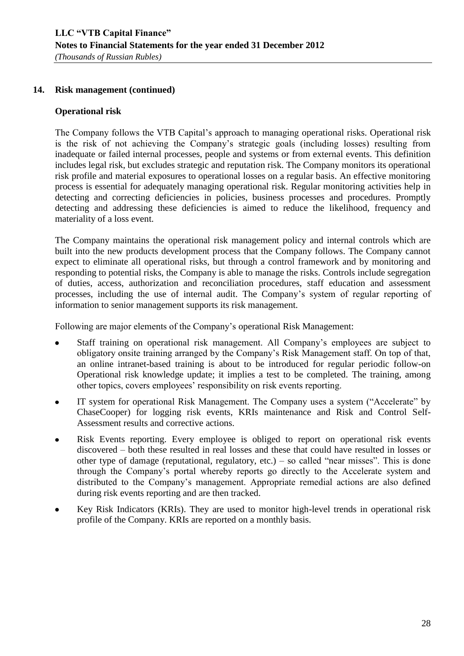### **Operational risk**

The Company follows the VTB Capital's approach to managing operational risks. Operational risk is the risk of not achieving the Company's strategic goals (including losses) resulting from inadequate or failed internal processes, people and systems or from external events. This definition includes legal risk, but excludes strategic and reputation risk. The Company monitors its operational risk profile and material exposures to operational losses on a regular basis. An effective monitoring process is essential for adequately managing operational risk. Regular monitoring activities help in detecting and correcting deficiencies in policies, business processes and procedures. Promptly detecting and addressing these deficiencies is aimed to reduce the likelihood, frequency and materiality of a loss event.

The Company maintains the operational risk management policy and internal controls which are built into the new products development process that the Company follows. The Company cannot expect to eliminate all operational risks, but through a control framework and by monitoring and responding to potential risks, the Company is able to manage the risks. Controls include segregation of duties, access, authorization and reconciliation procedures, staff education and assessment processes, including the use of internal audit. The Company's system of regular reporting of information to senior management supports its risk management.

Following are major elements of the Company's operational Risk Management:

- Staff training on operational risk management. All Company's employees are subject to obligatory onsite training arranged by the Company's Risk Management staff. On top of that, an online intranet-based training is about to be introduced for regular periodic follow-on Operational risk knowledge update; it implies a test to be completed. The training, among other topics, covers employees' responsibility on risk events reporting.
- IT system for operational Risk Management. The Company uses a system ("Accelerate" by  $\bullet$ ChaseCooper) for logging risk events, KRIs maintenance and Risk and Control Self-Assessment results and corrective actions.
- Risk Events reporting. Every employee is obliged to report on operational risk events discovered – both these resulted in real losses and these that could have resulted in losses or other type of damage (reputational, regulatory, etc.) – so called "near misses". This is done through the Company's portal whereby reports go directly to the Accelerate system and distributed to the Company's management. Appropriate remedial actions are also defined during risk events reporting and are then tracked.
- Key Risk Indicators (KRIs). They are used to monitor high-level trends in operational risk  $\bullet$ profile of the Company. KRIs are reported on a monthly basis.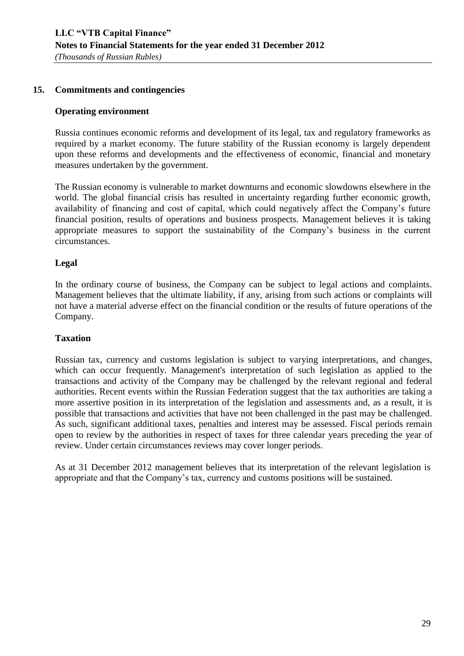## **15. Commitments and contingencies**

## **Operating environment**

Russia continues economic reforms and development of its legal, tax and regulatory frameworks as required by a market economy. The future stability of the Russian economy is largely dependent upon these reforms and developments and the effectiveness of economic, financial and monetary measures undertaken by the government.

The Russian economy is vulnerable to market downturns and economic slowdowns elsewhere in the world. The global financial crisis has resulted in uncertainty regarding further economic growth, availability of financing and cost of capital, which could negatively affect the Company's future financial position, results of operations and business prospects. Management believes it is taking appropriate measures to support the sustainability of the Company's business in the current circumstances.

## **Legal**

In the ordinary course of business, the Company can be subject to legal actions and complaints. Management believes that the ultimate liability, if any, arising from such actions or complaints will not have a material adverse effect on the financial condition or the results of future operations of the Company.

#### **Taxation**

Russian tax, currency and customs legislation is subject to varying interpretations, and changes, which can occur frequently. Management's interpretation of such legislation as applied to the transactions and activity of the Company may be challenged by the relevant regional and federal authorities. Recent events within the Russian Federation suggest that the tax authorities are taking a more assertive position in its interpretation of the legislation and assessments and, as a result, it is possible that transactions and activities that have not been challenged in the past may be challenged. As such, significant additional taxes, penalties and interest may be assessed. Fiscal periods remain open to review by the authorities in respect of taxes for three calendar years preceding the year of review. Under certain circumstances reviews may cover longer periods.

As at 31 December 2012 management believes that its interpretation of the relevant legislation is appropriate and that the Company's tax, currency and customs positions will be sustained.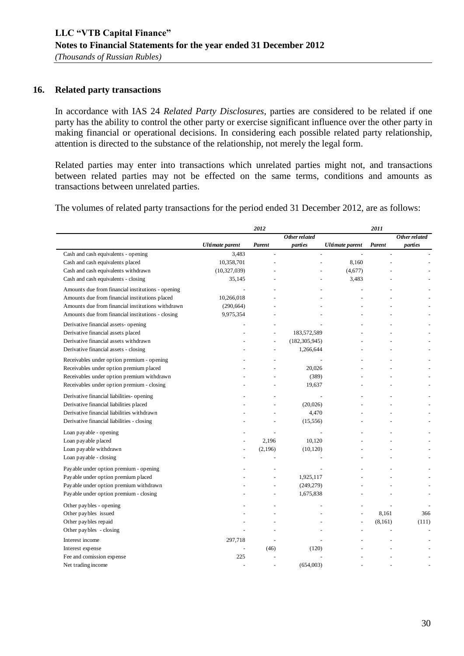### **16. Related party transactions**

In accordance with IAS 24 *Related Party Disclosures*, parties are considered to be related if one party has the ability to control the other party or exercise significant influence over the other party in making financial or operational decisions. In considering each possible related party relationship, attention is directed to the substance of the relationship, not merely the legal form.

Related parties may enter into transactions which unrelated parties might not, and transactions between related parties may not be effected on the same terms, conditions and amounts as transactions between unrelated parties.

The volumes of related party transactions for the period ended 31 December 2012, are as follows:

|                                                   |                 | 2012           |                  |                        | 2011     |               |
|---------------------------------------------------|-----------------|----------------|------------------|------------------------|----------|---------------|
|                                                   |                 |                | $0$ ther related |                        |          | Other related |
|                                                   | Ultimate parent | Parent         | parties          | <b>Ultimate parent</b> | Parent   | parties       |
| Cash and cash equivalents - opening               | 3,483           |                |                  |                        |          |               |
| Cash and cash equivalents placed                  | 10,358,701      |                |                  | 8,160                  |          |               |
| Cash and cash equivalents withdrawn               | (10, 327, 039)  |                |                  | (4,677)                |          |               |
| Cash and cash equivalents - closing               | 35,145          |                |                  | 3,483                  |          |               |
| Amounts due from financial institutions - opening |                 |                |                  |                        |          |               |
| Amounts due from financial institutions placed    | 10,266,018      |                |                  |                        |          |               |
| Amounts due from financial institutions withdrawn | (290, 664)      |                |                  |                        |          |               |
| Amounts due from financial institutions - closing | 9,975,354       |                |                  |                        |          |               |
| Derivative financial assets-opening               |                 |                |                  |                        |          |               |
| Derivative financial assets placed                |                 |                | 183,572,589      |                        |          |               |
| Derivative financial assets withdrawn             |                 | $\overline{a}$ | (182, 305, 945)  |                        |          |               |
| Derivative financial assets - closing             |                 |                | 1,266,644        |                        |          |               |
| Receivables under option premium - opening        |                 |                |                  |                        |          |               |
| Receivables under option premium placed           |                 |                | 20,026           |                        |          |               |
| Receivables under option premium withdrawn        |                 |                | (389)            |                        |          |               |
| Receivables under option premium - closing        |                 |                | 19,637           |                        |          |               |
| Derivative financial liabilities- opening         |                 |                |                  |                        |          |               |
| Derivative financial liabilities placed           |                 |                | (20,026)         |                        |          |               |
| Derivative financial liabilities withdrawn        |                 |                | 4,470            |                        |          |               |
| Derivative financial liabilities - closing        |                 |                | (15, 556)        |                        |          |               |
| Loan payable - opening                            |                 |                |                  |                        |          |               |
| Loan pay able placed                              |                 | 2,196          | 10,120           |                        |          |               |
| Loan payable withdrawn                            |                 | (2,196)        | (10, 120)        |                        |          |               |
| Loan payable - closing                            |                 |                |                  |                        |          |               |
| Payable under option premium - opening            |                 |                |                  |                        |          |               |
| Pay able under option premium placed              |                 |                | 1,925,117        |                        |          |               |
| Payable under option premium withdrawn            |                 | $\overline{a}$ | (249, 279)       |                        |          |               |
| Payable under option premium - closing            |                 |                | 1,675,838        |                        |          |               |
| Other paybles - opening                           |                 |                |                  |                        |          |               |
| Other paybles issued                              |                 |                |                  |                        | 8,161    | 366           |
| Other paybles repaid                              |                 |                |                  |                        | (8, 161) | (111)         |
| Other paybles - closing                           |                 |                |                  |                        |          |               |
| Interest income                                   | 297.718         |                |                  |                        |          |               |
| Interest expense                                  |                 | (46)           | (120)            |                        |          |               |
| Fee and comission expense                         | 225             |                |                  |                        |          |               |
| Net trading income                                |                 |                | (654,003)        |                        |          |               |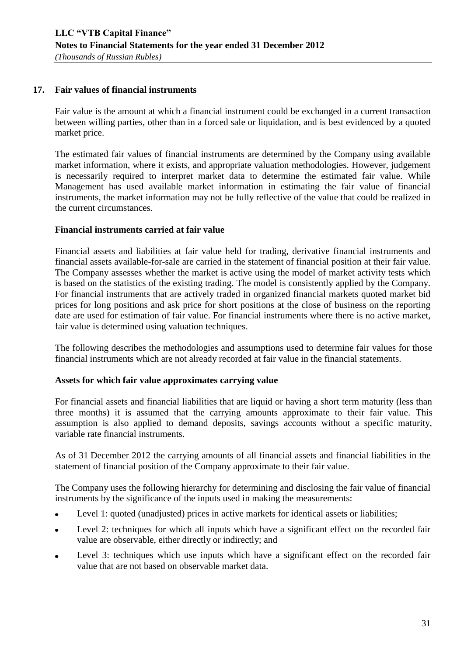## **17. Fair values of financial instruments**

Fair value is the amount at which a financial instrument could be exchanged in a current transaction between willing parties, other than in a forced sale or liquidation, and is best evidenced by a quoted market price.

The estimated fair values of financial instruments are determined by the Company using available market information, where it exists, and appropriate valuation methodologies. However, judgement is necessarily required to interpret market data to determine the estimated fair value. While Management has used available market information in estimating the fair value of financial instruments, the market information may not be fully reflective of the value that could be realized in the current circumstances.

## **Financial instruments carried at fair value**

Financial assets and liabilities at fair value held for trading, derivative financial instruments and financial assets available-for-sale are carried in the statement of financial position at their fair value. The Company assesses whether the market is active using the model of market activity tests which is based on the statistics of the existing trading. The model is consistently applied by the Company. For financial instruments that are actively traded in organized financial markets quoted market bid prices for long positions and ask price for short positions at the close of business on the reporting date are used for estimation of fair value. For financial instruments where there is no active market, fair value is determined using valuation techniques.

The following describes the methodologies and assumptions used to determine fair values for those financial instruments which are not already recorded at fair value in the financial statements.

## **Assets for which fair value approximates carrying value**

For financial assets and financial liabilities that are liquid or having a short term maturity (less than three months) it is assumed that the carrying amounts approximate to their fair value. This assumption is also applied to demand deposits, savings accounts without a specific maturity, variable rate financial instruments.

As of 31 December 2012 the carrying amounts of all financial assets and financial liabilities in the statement of financial position of the Company approximate to their fair value.

The Company uses the following hierarchy for determining and disclosing the fair value of financial instruments by the significance of the inputs used in making the measurements:

- Level 1: quoted (unadjusted) prices in active markets for identical assets or liabilities;  $\bullet$
- Level 2: techniques for which all inputs which have a significant effect on the recorded fair  $\bullet$ value are observable, either directly or indirectly; and
- Level 3: techniques which use inputs which have a significant effect on the recorded fair  $\bullet$ value that are not based on observable market data.